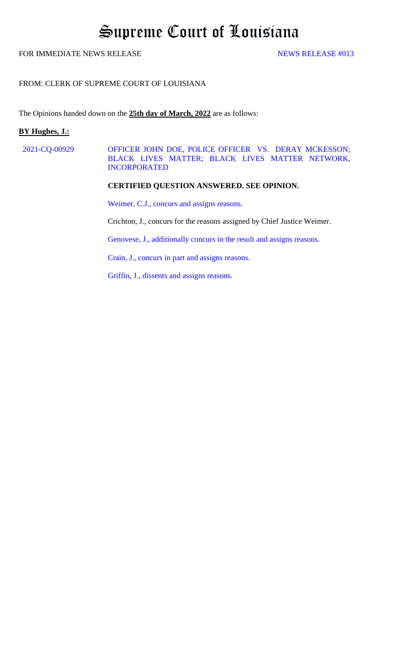# Supreme Court of Louisiana

# FOR IMMEDIATE NEWS RELEASE NEWS RELEASE  $\frac{4013}{200}$

#### FROM: CLERK OF SUPREME COURT OF LOUISIANA

The Opinions handed down on the **25th day of March, 2022** are as follows:

# **BY Hughes, J.:**

2021-CQ-00929 OFFICER JOHN DOE, POLICE OFFICER VS. DERAY MCKESSON; [BLACK LIVES MATTER; BLACK LIVES MATTER NETWORK,](#page-1-0)  INCORPORATED

#### **CERTIFIED QUESTION ANSWERED. SEE OPINION.**

[Weimer, C.J., concurs and assigns reasons.](#page-16-0) 

Crichton, J., concurs for the reasons assigned by Chief Justice Weimer.

[Genovese, J., additionally concurs in the result and assigns reasons.](#page-21-0) 

[Crain, J., concurs in part and assigns reasons.](#page-22-0) 

[Griffin, J., dissents and assigns reasons.](#page-35-0)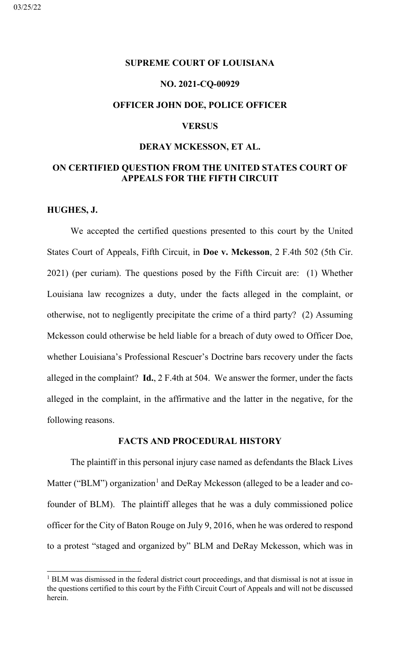# <span id="page-1-0"></span>**SUPREME COURT OF LOUISIANA**

# **NO. 2021-CQ-00929**

# **OFFICER JOHN DOE, POLICE OFFICER**

# **VERSUS**

# **DERAY MCKESSON, ET AL.**

# **ON CERTIFIED QUESTION FROM THE UNITED STATES COURT OF APPEALS FOR THE FIFTH CIRCUIT**

### **HUGHES, J.**

We accepted the certified questions presented to this court by the United States Court of Appeals, Fifth Circuit, in **Doe v. Mckesson**, 2 F.4th 502 (5th Cir. 2021) (per curiam). The questions posed by the Fifth Circuit are: (1) Whether Louisiana law recognizes a duty, under the facts alleged in the complaint, or otherwise, not to negligently precipitate the crime of a third party? (2) Assuming Mckesson could otherwise be held liable for a breach of duty owed to Officer Doe, whether Louisiana's Professional Rescuer's Doctrine bars recovery under the facts alleged in the complaint? **Id.**, 2 F.4th at 504. We answer the former, under the facts alleged in the complaint, in the affirmative and the latter in the negative, for the following reasons.

# **FACTS AND PROCEDURAL HISTORY**

The plaintiff in this personal injury case named as defendants the Black Lives Matter ("BLM") organization<sup>[1](#page-1-1)</sup> and DeRay Mckesson (alleged to be a leader and cofounder of BLM). The plaintiff alleges that he was a duly commissioned police officer for the City of Baton Rouge on July 9, 2016, when he was ordered to respond to a protest "staged and organized by" BLM and DeRay Mckesson, which was in

<span id="page-1-1"></span><sup>&</sup>lt;sup>1</sup> BLM was dismissed in the federal district court proceedings, and that dismissal is not at issue in the questions certified to this court by the Fifth Circuit Court of Appeals and will not be discussed herein.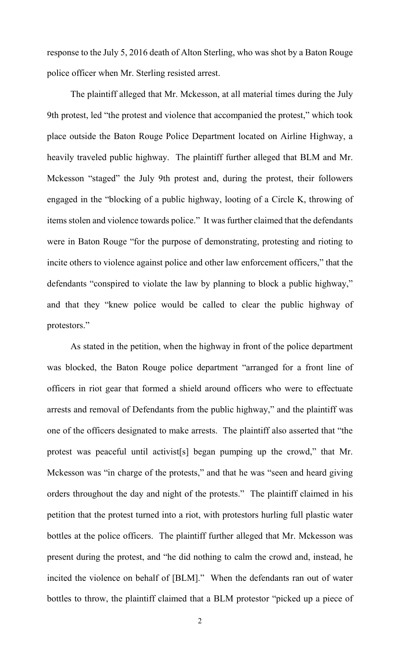response to the July 5, 2016 death of Alton Sterling, who was shot by a Baton Rouge police officer when Mr. Sterling resisted arrest.

The plaintiff alleged that Mr. Mckesson, at all material times during the July 9th protest, led "the protest and violence that accompanied the protest," which took place outside the Baton Rouge Police Department located on Airline Highway, a heavily traveled public highway. The plaintiff further alleged that BLM and Mr. Mckesson "staged" the July 9th protest and, during the protest, their followers engaged in the "blocking of a public highway, looting of a Circle K, throwing of items stolen and violence towards police." It was further claimed that the defendants were in Baton Rouge "for the purpose of demonstrating, protesting and rioting to incite others to violence against police and other law enforcement officers," that the defendants "conspired to violate the law by planning to block a public highway," and that they "knew police would be called to clear the public highway of protestors."

As stated in the petition, when the highway in front of the police department was blocked, the Baton Rouge police department "arranged for a front line of officers in riot gear that formed a shield around officers who were to effectuate arrests and removal of Defendants from the public highway," and the plaintiff was one of the officers designated to make arrests. The plaintiff also asserted that "the protest was peaceful until activist[s] began pumping up the crowd," that Mr. Mckesson was "in charge of the protests," and that he was "seen and heard giving orders throughout the day and night of the protests." The plaintiff claimed in his petition that the protest turned into a riot, with protestors hurling full plastic water bottles at the police officers. The plaintiff further alleged that Mr. Mckesson was present during the protest, and "he did nothing to calm the crowd and, instead, he incited the violence on behalf of [BLM]." When the defendants ran out of water bottles to throw, the plaintiff claimed that a BLM protestor "picked up a piece of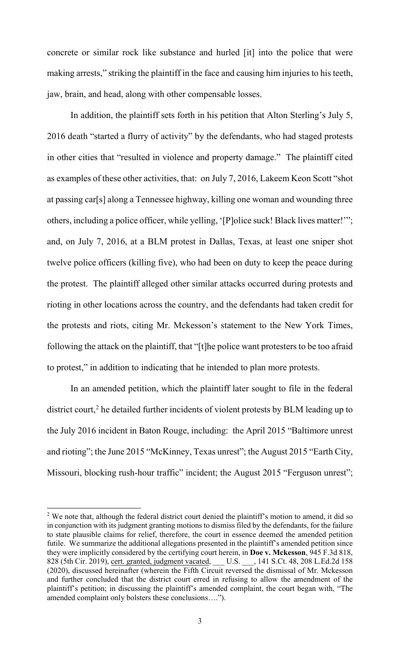concrete or similar rock like substance and hurled [it] into the police that were making arrests," striking the plaintiff in the face and causing him injuries to his teeth, jaw, brain, and head, along with other compensable losses.

In addition, the plaintiff sets forth in his petition that Alton Sterling's July 5, 2016 death "started a flurry of activity" by the defendants, who had staged protests in other cities that "resulted in violence and property damage." The plaintiff cited as examples of these other activities, that: on July 7, 2016, Lakeem Keon Scott "shot at passing car[s] along a Tennessee highway, killing one woman and wounding three others, including a police officer, while yelling, '[P]olice suck! Black lives matter!'"; and, on July 7, 2016, at a BLM protest in Dallas, Texas, at least one sniper shot twelve police officers (killing five), who had been on duty to keep the peace during the protest. The plaintiff alleged other similar attacks occurred during protests and rioting in other locations across the country, and the defendants had taken credit for the protests and riots, citing Mr. Mckesson's statement to the New York Times, following the attack on the plaintiff, that "[t]he police want protesters to be too afraid to protest," in addition to indicating that he intended to plan more protests.

In an amended petition, which the plaintiff later sought to file in the federal district court,<sup>[2](#page-3-0)</sup> he detailed further incidents of violent protests by BLM leading up to the July 2016 incident in Baton Rouge, including: the April 2015 "Baltimore unrest and rioting"; the June 2015 "McKinney, Texas unrest"; the August 2015 "Earth City, Missouri, blocking rush-hour traffic" incident; the August 2015 "Ferguson unrest";

<span id="page-3-0"></span> $2$  We note that, although the federal district court denied the plaintiff's motion to amend, it did so in conjunction with its judgment granting motions to dismiss filed by the defendants, for the failure to state plausible claims for relief, therefore, the court in essence deemed the amended petition futile. We summarize the additional allegations presented in the plaintiff's amended petition since they were implicitly considered by the certifying court herein, in **Doe v. Mckesson**, 945 F.3d 818, 828 (5th Cir. 2019), cert. granted, judgment vacated, \_\_\_ U.S. \_\_\_, 141 S.Ct. 48, 208 L.Ed.2d 158 (2020), discussed hereinafter (wherein the Fifth Circuit reversed the dismissal of Mr. Mckesson and further concluded that the district court erred in refusing to allow the amendment of the plaintiff's petition; in discussing the plaintiff's amended complaint, the court began with, "The amended complaint only bolsters these conclusions….").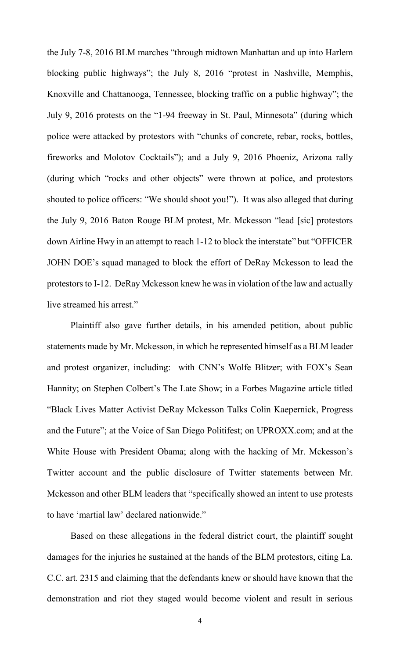the July 7-8, 2016 BLM marches "through midtown Manhattan and up into Harlem blocking public highways"; the July 8, 2016 "protest in Nashville, Memphis, Knoxville and Chattanooga, Tennessee, blocking traffic on a public highway"; the July 9, 2016 protests on the "1-94 freeway in St. Paul, Minnesota" (during which police were attacked by protestors with "chunks of concrete, rebar, rocks, bottles, fireworks and Molotov Cocktails"); and a July 9, 2016 Phoeniz, Arizona rally (during which "rocks and other objects" were thrown at police, and protestors shouted to police officers: "We should shoot you!"). It was also alleged that during the July 9, 2016 Baton Rouge BLM protest, Mr. Mckesson "lead [sic] protestors down Airline Hwy in an attempt to reach 1-12 to block the interstate" but "OFFICER JOHN DOE's squad managed to block the effort of DeRay Mckesson to lead the protestors to I-12. DeRay Mckesson knew he was in violation of the law and actually live streamed his arrest."

Plaintiff also gave further details, in his amended petition, about public statements made by Mr. Mckesson, in which he represented himself as a BLM leader and protest organizer, including: with CNN's Wolfe Blitzer; with FOX's Sean Hannity; on Stephen Colbert's The Late Show; in a Forbes Magazine article titled "Black Lives Matter Activist DeRay Mckesson Talks Colin Kaepernick, Progress and the Future"; at the Voice of San Diego Politifest; on UPROXX.com; and at the White House with President Obama; along with the hacking of Mr. Mckesson's Twitter account and the public disclosure of Twitter statements between Mr. Mckesson and other BLM leaders that "specifically showed an intent to use protests to have 'martial law' declared nationwide."

Based on these allegations in the federal district court, the plaintiff sought damages for the injuries he sustained at the hands of the BLM protestors, citing La. C.C. art. 2315 and claiming that the defendants knew or should have known that the demonstration and riot they staged would become violent and result in serious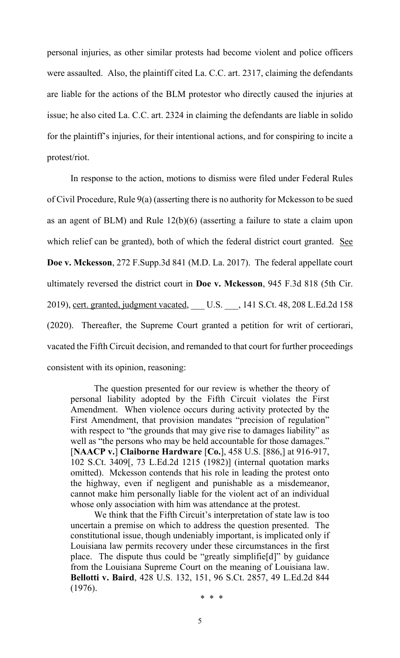personal injuries, as other similar protests had become violent and police officers were assaulted. Also, the plaintiff cited La. C.C. art. 2317, claiming the defendants are liable for the actions of the BLM protestor who directly caused the injuries at issue; he also cited La. C.C. art. 2324 in claiming the defendants are liable in solido for the plaintiff's injuries, for their intentional actions, and for conspiring to incite a protest/riot.

In response to the action, motions to dismiss were filed under Federal Rules of Civil Procedure, Rule 9(a) (asserting there is no authority for Mckesson to be sued as an agent of BLM) and Rule 12(b)(6) (asserting a failure to state a claim upon which relief can be granted), both of which the federal district court granted. See **Doe v. Mckesson**, 272 F.Supp.3d 841 (M.D. La. 2017). The federal appellate court ultimately reversed the district court in **Doe v. Mckesson**, 945 F.3d 818 (5th Cir. 2019), cert. granted, judgment vacated, \_\_\_ U.S. \_\_\_, 141 S.Ct. 48, 208 L.Ed.2d 158 (2020). Thereafter, the Supreme Court granted a petition for writ of certiorari, vacated the Fifth Circuit decision, and remanded to that court for further proceedings consistent with its opinion, reasoning:

The question presented for our review is whether the theory of personal liability adopted by the Fifth Circuit violates the First Amendment. When violence occurs during activity protected by the First Amendment, that provision mandates "precision of regulation" with respect to "the grounds that may give rise to damages liability" as well as "the persons who may be held accountable for those damages." [**NAACP v.**] **Claiborne Hardware** [**Co.**], 458 U.S. [886,] at 916-917, 102 S.Ct. 3409[, 73 L.Ed.2d 1215 (1982)] (internal quotation marks omitted). Mckesson contends that his role in leading the protest onto the highway, even if negligent and punishable as a misdemeanor, cannot make him personally liable for the violent act of an individual whose only association with him was attendance at the protest.

We think that the Fifth Circuit's interpretation of state law is too uncertain a premise on which to address the question presented. The constitutional issue, though undeniably important, is implicated only if Louisiana law permits recovery under these circumstances in the first place. The dispute thus could be "greatly simplifie[d]" by guidance from the Louisiana Supreme Court on the meaning of Louisiana law. **Bellotti v. Baird**, 428 U.S. 132, 151, 96 S.Ct. 2857, 49 L.Ed.2d 844 (1976). \* \* \*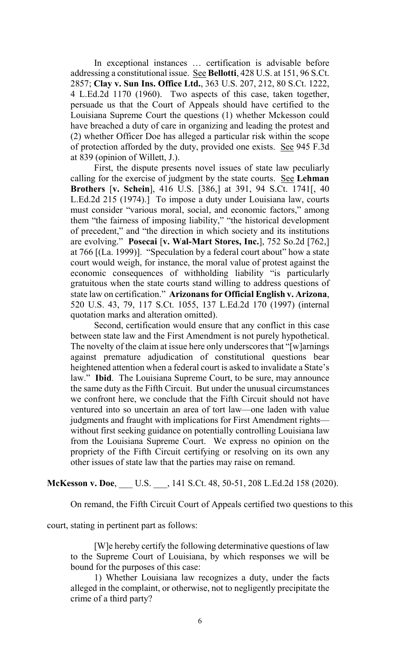In exceptional instances … certification is advisable before addressing a constitutional issue. See **Bellotti**, 428 U.S. at 151, 96 S.Ct. 2857; **Clay v. Sun Ins. Office Ltd.**, 363 U.S. 207, 212, 80 S.Ct. 1222, 4 L.Ed.2d 1170 (1960). Two aspects of this case, taken together, persuade us that the Court of Appeals should have certified to the Louisiana Supreme Court the questions (1) whether Mckesson could have breached a duty of care in organizing and leading the protest and (2) whether Officer Doe has alleged a particular risk within the scope of protection afforded by the duty, provided one exists. See 945 F.3d at 839 (opinion of Willett, J.).

First, the dispute presents novel issues of state law peculiarly calling for the exercise of judgment by the state courts. See **Lehman Brothers** [**v. Schein**], 416 U.S. [386,] at 391, 94 S.Ct. 1741[, 40 L.Ed.2d 215 (1974).] To impose a duty under Louisiana law, courts must consider "various moral, social, and economic factors," among them "the fairness of imposing liability," "the historical development of precedent," and "the direction in which society and its institutions are evolving." **Posecai** [**v. Wal-Mart Stores, Inc.**], 752 So.2d [762,] at 766 [(La. 1999)]. "Speculation by a federal court about" how a state court would weigh, for instance, the moral value of protest against the economic consequences of withholding liability "is particularly gratuitous when the state courts stand willing to address questions of state law on certification." **Arizonans for Official English v. Arizona**, 520 U.S. 43, 79, 117 S.Ct. 1055, 137 L.Ed.2d 170 (1997) (internal quotation marks and alteration omitted).

Second, certification would ensure that any conflict in this case between state law and the First Amendment is not purely hypothetical. The novelty of the claim at issue here only underscores that "[w]arnings against premature adjudication of constitutional questions bear heightened attention when a federal court is asked to invalidate a State's law." **Ibid**. The Louisiana Supreme Court, to be sure, may announce the same duty as the Fifth Circuit. But under the unusual circumstances we confront here, we conclude that the Fifth Circuit should not have ventured into so uncertain an area of tort law—one laden with value judgments and fraught with implications for First Amendment rights without first seeking guidance on potentially controlling Louisiana law from the Louisiana Supreme Court. We express no opinion on the propriety of the Fifth Circuit certifying or resolving on its own any other issues of state law that the parties may raise on remand.

# **McKesson v. Doe,** U.S. , 141 S.Ct. 48, 50-51, 208 L.Ed.2d 158 (2020).

On remand, the Fifth Circuit Court of Appeals certified two questions to this

court, stating in pertinent part as follows:

[W]e hereby certify the following determinative questions of law to the Supreme Court of Louisiana, by which responses we will be bound for the purposes of this case:

1) Whether Louisiana law recognizes a duty, under the facts alleged in the complaint, or otherwise, not to negligently precipitate the crime of a third party?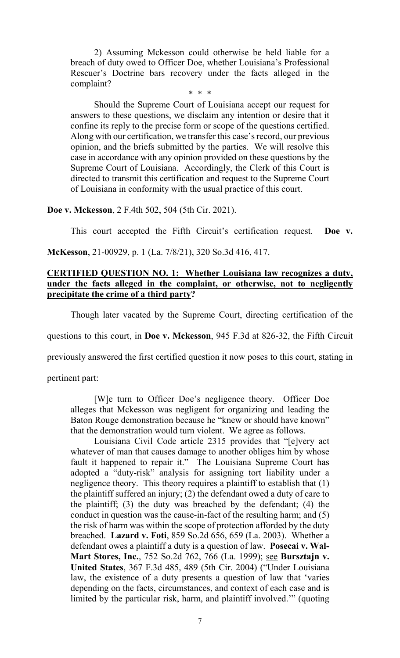2) Assuming Mckesson could otherwise be held liable for a breach of duty owed to Officer Doe, whether Louisiana's Professional Rescuer's Doctrine bars recovery under the facts alleged in the complaint?

#### \* \* \*

Should the Supreme Court of Louisiana accept our request for answers to these questions, we disclaim any intention or desire that it confine its reply to the precise form or scope of the questions certified. Along with our certification, we transfer this case's record, our previous opinion, and the briefs submitted by the parties. We will resolve this case in accordance with any opinion provided on these questions by the Supreme Court of Louisiana. Accordingly, the Clerk of this Court is directed to transmit this certification and request to the Supreme Court of Louisiana in conformity with the usual practice of this court.

#### **Doe v. Mckesson**, 2 F.4th 502, 504 (5th Cir. 2021).

This court accepted the Fifth Circuit's certification request. **Doe v.** 

**McKesson**, 21-00929, p. 1 (La. 7/8/21), 320 So.3d 416, 417.

# **CERTIFIED QUESTION NO. 1: Whether Louisiana law recognizes a duty, under the facts alleged in the complaint, or otherwise, not to negligently precipitate the crime of a third party?**

Though later vacated by the Supreme Court, directing certification of the

questions to this court, in **Doe v. Mckesson**, 945 F.3d at 826-32, the Fifth Circuit

previously answered the first certified question it now poses to this court, stating in

pertinent part:

[W]e turn to Officer Doe's negligence theory. Officer Doe alleges that Mckesson was negligent for organizing and leading the Baton Rouge demonstration because he "knew or should have known" that the demonstration would turn violent. We agree as follows.

Louisiana Civil Code article 2315 provides that "[e]very act whatever of man that causes damage to another obliges him by whose fault it happened to repair it." The Louisiana Supreme Court has adopted a "duty-risk" analysis for assigning tort liability under a negligence theory. This theory requires a plaintiff to establish that (1) the plaintiff suffered an injury; (2) the defendant owed a duty of care to the plaintiff; (3) the duty was breached by the defendant; (4) the conduct in question was the cause-in-fact of the resulting harm; and (5) the risk of harm was within the scope of protection afforded by the duty breached. **Lazard v. Foti**, 859 So.2d 656, 659 (La. 2003). Whether a defendant owes a plaintiff a duty is a question of law. **Posecai v. Wal-Mart Stores, Inc.**, 752 So.2d 762, 766 (La. 1999); see **Bursztajn v. United States**, 367 F.3d 485, 489 (5th Cir. 2004) ("Under Louisiana law, the existence of a duty presents a question of law that 'varies depending on the facts, circumstances, and context of each case and is limited by the particular risk, harm, and plaintiff involved.'" (quoting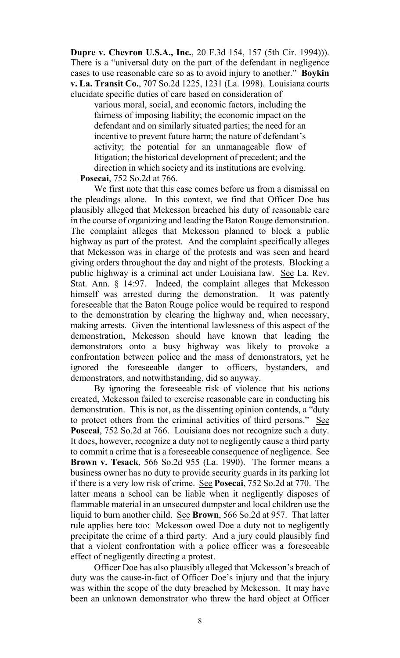**Dupre v. Chevron U.S.A., Inc.**, 20 F.3d 154, 157 (5th Cir. 1994))). There is a "universal duty on the part of the defendant in negligence cases to use reasonable care so as to avoid injury to another." **Boykin v. La. Transit Co.**, 707 So.2d 1225, 1231 (La. 1998). Louisiana courts elucidate specific duties of care based on consideration of

various moral, social, and economic factors, including the fairness of imposing liability; the economic impact on the defendant and on similarly situated parties; the need for an incentive to prevent future harm; the nature of defendant's activity; the potential for an unmanageable flow of litigation; the historical development of precedent; and the direction in which society and its institutions are evolving.

# **Posecai**, 752 So.2d at 766.

We first note that this case comes before us from a dismissal on the pleadings alone. In this context, we find that Officer Doe has plausibly alleged that Mckesson breached his duty of reasonable care in the course of organizing and leading the Baton Rouge demonstration. The complaint alleges that Mckesson planned to block a public highway as part of the protest. And the complaint specifically alleges that Mckesson was in charge of the protests and was seen and heard giving orders throughout the day and night of the protests. Blocking a public highway is a criminal act under Louisiana law. See La. Rev. Stat. Ann. § 14:97. Indeed, the complaint alleges that Mckesson himself was arrested during the demonstration. It was patently foreseeable that the Baton Rouge police would be required to respond to the demonstration by clearing the highway and, when necessary, making arrests. Given the intentional lawlessness of this aspect of the demonstration, Mckesson should have known that leading the demonstrators onto a busy highway was likely to provoke a confrontation between police and the mass of demonstrators, yet he ignored the foreseeable danger to officers, bystanders, and demonstrators, and notwithstanding, did so anyway.

By ignoring the foreseeable risk of violence that his actions created, Mckesson failed to exercise reasonable care in conducting his demonstration. This is not, as the dissenting opinion contends, a "duty to protect others from the criminal activities of third persons." See **Posecai**, 752 So.2d at 766. Louisiana does not recognize such a duty. It does, however, recognize a duty not to negligently cause a third party to commit a crime that is a foreseeable consequence of negligence. See **Brown v. Tesack**, 566 So.2d 955 (La. 1990). The former means a business owner has no duty to provide security guards in its parking lot if there is a very low risk of crime. See **Posecai**, 752 So.2d at 770. The latter means a school can be liable when it negligently disposes of flammable material in an unsecured dumpster and local children use the liquid to burn another child. See **Brown**, 566 So.2d at 957. That latter rule applies here too: Mckesson owed Doe a duty not to negligently precipitate the crime of a third party. And a jury could plausibly find that a violent confrontation with a police officer was a foreseeable effect of negligently directing a protest.

Officer Doe has also plausibly alleged that Mckesson's breach of duty was the cause-in-fact of Officer Doe's injury and that the injury was within the scope of the duty breached by Mckesson. It may have been an unknown demonstrator who threw the hard object at Officer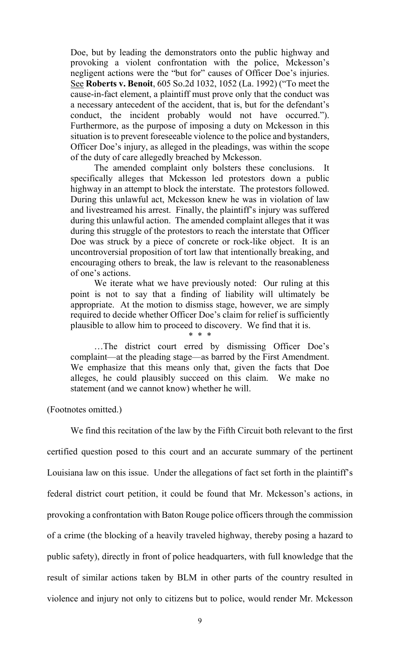Doe, but by leading the demonstrators onto the public highway and provoking a violent confrontation with the police, Mckesson's negligent actions were the "but for" causes of Officer Doe's injuries. See **Roberts v. Benoit**, 605 So.2d 1032, 1052 (La. 1992) ("To meet the cause-in-fact element, a plaintiff must prove only that the conduct was a necessary antecedent of the accident, that is, but for the defendant's conduct, the incident probably would not have occurred."). Furthermore, as the purpose of imposing a duty on Mckesson in this situation is to prevent foreseeable violence to the police and bystanders, Officer Doe's injury, as alleged in the pleadings, was within the scope of the duty of care allegedly breached by Mckesson.

The amended complaint only bolsters these conclusions. It specifically alleges that Mckesson led protestors down a public highway in an attempt to block the interstate. The protestors followed. During this unlawful act, Mckesson knew he was in violation of law and livestreamed his arrest. Finally, the plaintiff's injury was suffered during this unlawful action. The amended complaint alleges that it was during this struggle of the protestors to reach the interstate that Officer Doe was struck by a piece of concrete or rock-like object. It is an uncontroversial proposition of tort law that intentionally breaking, and encouraging others to break, the law is relevant to the reasonableness of one's actions.

We iterate what we have previously noted: Our ruling at this point is not to say that a finding of liability will ultimately be appropriate. At the motion to dismiss stage, however, we are simply required to decide whether Officer Doe's claim for relief is sufficiently plausible to allow him to proceed to discovery. We find that it is. \* \* \*

…The district court erred by dismissing Officer Doe's complaint—at the pleading stage—as barred by the First Amendment. We emphasize that this means only that, given the facts that Doe alleges, he could plausibly succeed on this claim. We make no statement (and we cannot know) whether he will.

(Footnotes omitted.)

We find this recitation of the law by the Fifth Circuit both relevant to the first certified question posed to this court and an accurate summary of the pertinent Louisiana law on this issue. Under the allegations of fact set forth in the plaintiff's federal district court petition, it could be found that Mr. Mckesson's actions, in provoking a confrontation with Baton Rouge police officers through the commission of a crime (the blocking of a heavily traveled highway, thereby posing a hazard to public safety), directly in front of police headquarters, with full knowledge that the result of similar actions taken by BLM in other parts of the country resulted in violence and injury not only to citizens but to police, would render Mr. Mckesson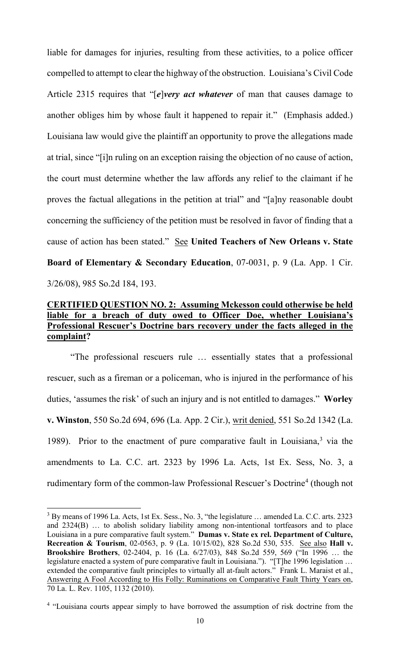liable for damages for injuries, resulting from these activities, to a police officer compelled to attempt to clear the highway of the obstruction. Louisiana's Civil Code Article 2315 requires that "[*e*]*very act whatever* of man that causes damage to another obliges him by whose fault it happened to repair it." (Emphasis added.) Louisiana law would give the plaintiff an opportunity to prove the allegations made at trial, since "[i]n ruling on an exception raising the objection of no cause of action, the court must determine whether the law affords any relief to the claimant if he proves the factual allegations in the petition at trial" and "[a]ny reasonable doubt concerning the sufficiency of the petition must be resolved in favor of finding that a cause of action has been stated." See **United Teachers of New Orleans v. State Board of Elementary & Secondary Education**, 07-0031, p. 9 (La. App. 1 Cir. 3/26/08), 985 So.2d 184, 193.

# **CERTIFIED QUESTION NO. 2: Assuming Mckesson could otherwise be held liable for a breach of duty owed to Officer Doe, whether Louisiana's Professional Rescuer's Doctrine bars recovery under the facts alleged in the complaint?**

"The professional rescuers rule … essentially states that a professional rescuer, such as a fireman or a policeman, who is injured in the performance of his duties, 'assumes the risk' of such an injury and is not entitled to damages." **Worley v. Winston**, 550 So.2d 694, 696 (La. App. 2 Cir.), writ denied, 551 So.2d 1342 (La. 1989). Prior to the enactment of pure comparative fault in Louisiana, $3$  via the amendments to La. C.C. art. 2323 by 1996 La. Acts, 1st Ex. Sess, No. 3, a rudimentary form of the common-law Professional Rescuer's Doctrine<sup>[4](#page-10-1)</sup> (though not

<span id="page-10-0"></span> $3$  By means of 1996 La. Acts, 1st Ex. Sess., No. 3, "the legislature  $\ldots$  amended La. C.C. arts. 2323 and 2324(B) … to abolish solidary liability among non-intentional tortfeasors and to place Louisiana in a pure comparative fault system." **Dumas v. State ex rel. Department of Culture, Recreation & Tourism**, 02-0563, p. 9 (La. 10/15/02), 828 So.2d 530, 535. See also **Hall v. Brookshire Brothers**, 02-2404, p. 16 (La. 6/27/03), 848 So.2d 559, 569 ("In 1996 … the legislature enacted a system of pure comparative fault in Louisiana."). "[T]he 1996 legislation … extended the comparative fault principles to virtually all at-fault actors." Frank L. Maraist et al., Answering A Fool According to His Folly: Ruminations on Comparative Fault Thirty Years on, 70 La. L. Rev. 1105, 1132 (2010).

<span id="page-10-1"></span><sup>&</sup>lt;sup>4</sup> "Louisiana courts appear simply to have borrowed the assumption of risk doctrine from the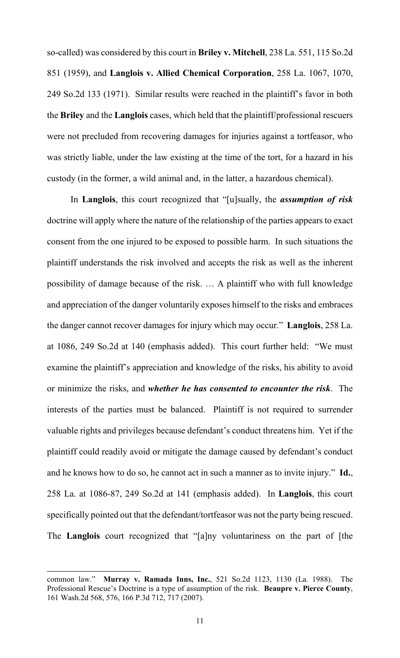so-called) was considered by this court in **Briley v. Mitchell**, 238 La. 551, 115 So.2d 851 (1959), and **Langlois v. Allied Chemical Corporation**, 258 La. 1067, 1070, 249 So.2d 133 (1971). Similar results were reached in the plaintiff's favor in both the **Briley** and the **Langlois** cases, which held that the plaintiff/professional rescuers were not precluded from recovering damages for injuries against a tortfeasor, who was strictly liable, under the law existing at the time of the tort, for a hazard in his custody (in the former, a wild animal and, in the latter, a hazardous chemical).

In **Langlois**, this court recognized that "[u]sually, the *assumption of risk* doctrine will apply where the nature of the relationship of the parties appears to exact consent from the one injured to be exposed to possible harm. In such situations the plaintiff understands the risk involved and accepts the risk as well as the inherent possibility of damage because of the risk. … A plaintiff who with full knowledge and appreciation of the danger voluntarily exposes himself to the risks and embraces the danger cannot recover damages for injury which may occur." **Langlois**, 258 La. at 1086, 249 So.2d at 140 (emphasis added). This court further held: "We must examine the plaintiff's appreciation and knowledge of the risks, his ability to avoid or minimize the risks, and *whether he has consented to encounter the risk*. The interests of the parties must be balanced. Plaintiff is not required to surrender valuable rights and privileges because defendant's conduct threatens him. Yet if the plaintiff could readily avoid or mitigate the damage caused by defendant's conduct and he knows how to do so, he cannot act in such a manner as to invite injury." **Id.**, 258 La. at 1086-87, 249 So.2d at 141 (emphasis added). In **Langlois**, this court specifically pointed out that the defendant/tortfeasor was not the party being rescued. The **Langlois** court recognized that "[a]ny voluntariness on the part of [the

 $\overline{a}$ 

common law." **Murray v. Ramada Inns, Inc.**, 521 So.2d 1123, 1130 (La. 1988). The Professional Rescue's Doctrine is a type of assumption of the risk. **Beaupre v. Pierce County**, 161 Wash.2d 568, 576, 166 P.3d 712, 717 (2007).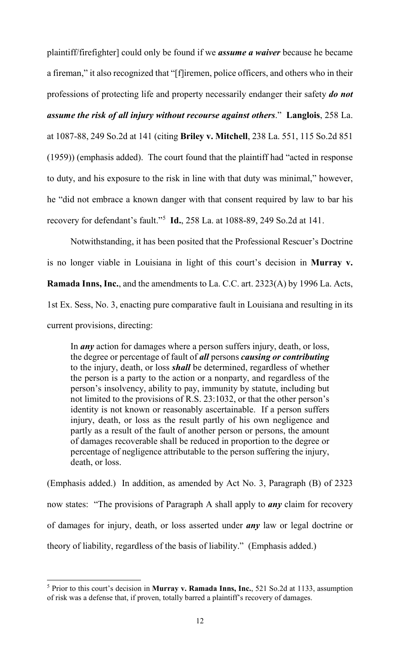plaintiff/firefighter] could only be found if we *assume a waiver* because he became a fireman," it also recognized that "[f]iremen, police officers, and others who in their professions of protecting life and property necessarily endanger their safety *do not* 

*assume the risk of all injury without recourse against others*." **Langlois**, 258 La.

at 1087-88, 249 So.2d at 141 (citing **Briley v. Mitchell**, 238 La. 551, 115 So.2d 851 (1959)) (emphasis added). The court found that the plaintiff had "acted in response to duty, and his exposure to the risk in line with that duty was minimal," however, he "did not embrace a known danger with that consent required by law to bar his recovery for defendant's fault."[5](#page-12-0) **Id.**, 258 La. at 1088-89, 249 So.2d at 141.

Notwithstanding, it has been posited that the Professional Rescuer's Doctrine is no longer viable in Louisiana in light of this court's decision in **Murray v. Ramada Inns, Inc.**, and the amendments to La. C.C. art. 2323(A) by 1996 La. Acts, 1st Ex. Sess, No. 3, enacting pure comparative fault in Louisiana and resulting in its current provisions, directing:

In *any* action for damages where a person suffers injury, death, or loss, the degree or percentage of fault of *all* persons *causing or contributing* to the injury, death, or loss *shall* be determined, regardless of whether the person is a party to the action or a nonparty, and regardless of the person's insolvency, ability to pay, immunity by statute, including but not limited to the provisions of R.S. 23:1032, or that the other person's identity is not known or reasonably ascertainable. If a person suffers injury, death, or loss as the result partly of his own negligence and partly as a result of the fault of another person or persons, the amount of damages recoverable shall be reduced in proportion to the degree or percentage of negligence attributable to the person suffering the injury, death, or loss.

(Emphasis added.) In addition, as amended by Act No. 3, Paragraph (B) of 2323 now states: "The provisions of Paragraph A shall apply to *any* claim for recovery of damages for injury, death, or loss asserted under *any* law or legal doctrine or theory of liability, regardless of the basis of liability." (Emphasis added.)

<span id="page-12-0"></span> <sup>5</sup> Prior to this court's decision in **Murray v. Ramada Inns, Inc.**, 521 So.2d at 1133, assumption of risk was a defense that, if proven, totally barred a plaintiff's recovery of damages.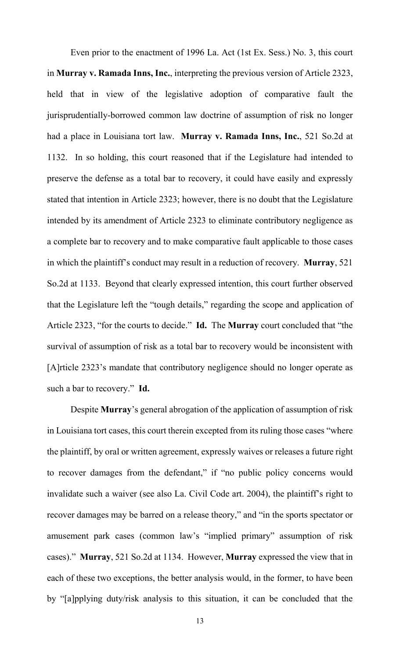Even prior to the enactment of 1996 La. Act (1st Ex. Sess.) No. 3, this court in **Murray v. Ramada Inns, Inc.**, interpreting the previous version of Article 2323, held that in view of the legislative adoption of comparative fault the jurisprudentially-borrowed common law doctrine of assumption of risk no longer had a place in Louisiana tort law. **Murray v. Ramada Inns, Inc.**, 521 So.2d at 1132. In so holding, this court reasoned that if the Legislature had intended to preserve the defense as a total bar to recovery, it could have easily and expressly stated that intention in Article 2323; however, there is no doubt that the Legislature intended by its amendment of Article 2323 to eliminate contributory negligence as a complete bar to recovery and to make comparative fault applicable to those cases in which the plaintiff's conduct may result in a reduction of recovery. **Murray**, 521 So.2d at 1133. Beyond that clearly expressed intention, this court further observed that the Legislature left the "tough details," regarding the scope and application of Article 2323, "for the courts to decide." **Id.** The **Murray** court concluded that "the survival of assumption of risk as a total bar to recovery would be inconsistent with [A]rticle 2323's mandate that contributory negligence should no longer operate as such a bar to recovery." **Id.**

Despite **Murray**'s general abrogation of the application of assumption of risk in Louisiana tort cases, this court therein excepted from its ruling those cases "where the plaintiff, by oral or written agreement, expressly waives or releases a future right to recover damages from the defendant," if "no public policy concerns would invalidate such a waiver (see also La. Civil Code art. 2004), the plaintiff's right to recover damages may be barred on a release theory," and "in the sports spectator or amusement park cases (common law's "implied primary" assumption of risk cases)." **Murray**, 521 So.2d at 1134. However, **Murray** expressed the view that in each of these two exceptions, the better analysis would, in the former, to have been by "[a]pplying duty/risk analysis to this situation, it can be concluded that the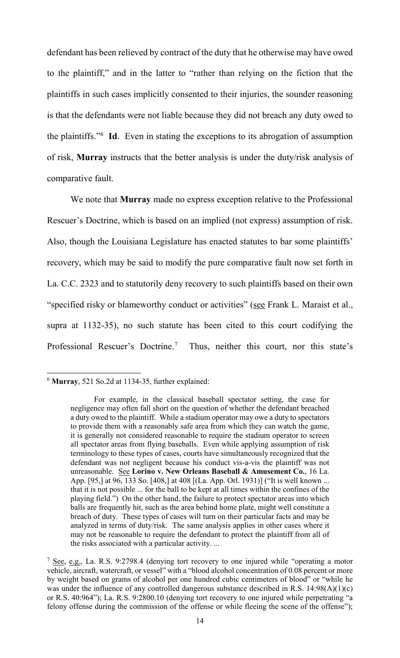defendant has been relieved by contract of the duty that he otherwise may have owed to the plaintiff," and in the latter to "rather than relying on the fiction that the plaintiffs in such cases implicitly consented to their injuries, the sounder reasoning is that the defendants were not liable because they did not breach any duty owed to the plaintiffs."[6](#page-14-0) **Id**. Even in stating the exceptions to its abrogation of assumption of risk, **Murray** instructs that the better analysis is under the duty/risk analysis of comparative fault.

We note that **Murray** made no express exception relative to the Professional Rescuer's Doctrine, which is based on an implied (not express) assumption of risk. Also, though the Louisiana Legislature has enacted statutes to bar some plaintiffs' recovery, which may be said to modify the pure comparative fault now set forth in La. C.C. 2323 and to statutorily deny recovery to such plaintiffs based on their own "specified risky or blameworthy conduct or activities" (see Frank L. Maraist et al., supra at 1132-35), no such statute has been cited to this court codifying the Professional Rescuer's Doctrine.<sup>[7](#page-14-1)</sup> Thus, neither this court, nor this state's

<span id="page-14-0"></span> <sup>6</sup> **Murray**, 521 So.2d at 1134-35, further explained:

For example, in the classical baseball spectator setting, the case for negligence may often fall short on the question of whether the defendant breached a duty owed to the plaintiff. While a stadium operator may owe a duty to spectators to provide them with a reasonably safe area from which they can watch the game, it is generally not considered reasonable to require the stadium operator to screen all spectator areas from flying baseballs. Even while applying assumption of risk terminology to these types of cases, courts have simultaneously recognized that the defendant was not negligent because his conduct vis-a-vis the plaintiff was not unreasonable. See **Lorino v. New Orleans Baseball & Amusement Co.**, 16 La. App. [95,] at 96, 133 So. [408,] at 408 [(La. App. Orl. 1931)] ("It is well known ... that it is not possible ... for the ball to be kept at all times within the confines of the playing field.") On the other hand, the failure to protect spectator areas into which balls are frequently hit, such as the area behind home plate, might well constitute a breach of duty. These types of cases will turn on their particular facts and may be analyzed in terms of duty/risk. The same analysis applies in other cases where it may not be reasonable to require the defendant to protect the plaintiff from all of the risks associated with a particular activity. ...

<span id="page-14-1"></span><sup>&</sup>lt;sup>7</sup> See, e.g., La. R.S. 9:2798.4 (denying tort recovery to one injured while "operating a motor vehicle, aircraft, watercraft, or vessel" with a "blood alcohol concentration of 0.08 percent or more by weight based on grams of alcohol per one hundred cubic centimeters of blood" or "while he was under the influence of any controlled dangerous substance described in R.S. 14:98(A)(1)(c) or R.S. 40:964"); La. R.S. 9:2800.10 (denying tort recovery to one injured while perpetrating "a felony offense during the commission of the offense or while fleeing the scene of the offense");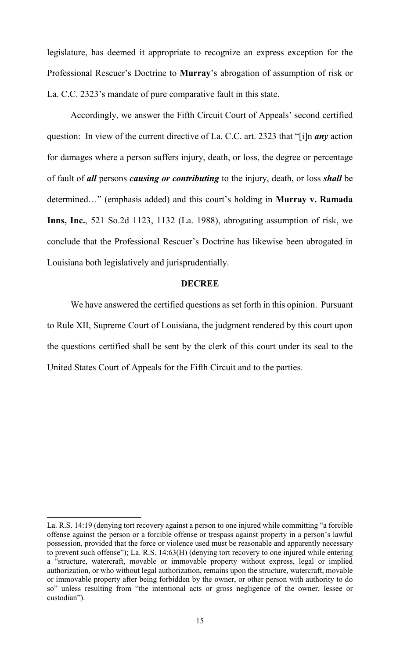legislature, has deemed it appropriate to recognize an express exception for the Professional Rescuer's Doctrine to **Murray**'s abrogation of assumption of risk or La. C.C. 2323's mandate of pure comparative fault in this state.

Accordingly, we answer the Fifth Circuit Court of Appeals' second certified question: In view of the current directive of La. C.C. art. 2323 that "[i]n *any* action for damages where a person suffers injury, death, or loss, the degree or percentage of fault of *all* persons *causing or contributing* to the injury, death, or loss *shall* be determined…" (emphasis added) and this court's holding in **Murray v. Ramada Inns, Inc.**, 521 So.2d 1123, 1132 (La. 1988), abrogating assumption of risk, we conclude that the Professional Rescuer's Doctrine has likewise been abrogated in Louisiana both legislatively and jurisprudentially.

#### **DECREE**

We have answered the certified questions as set forth in this opinion. Pursuant to Rule XII, Supreme Court of Louisiana, the judgment rendered by this court upon the questions certified shall be sent by the clerk of this court under its seal to the United States Court of Appeals for the Fifth Circuit and to the parties.

La. R.S. 14:19 (denying tort recovery against a person to one injured while committing "a forcible offense against the person or a forcible offense or trespass against property in a person's lawful possession, provided that the force or violence used must be reasonable and apparently necessary to prevent such offense"); La. R.S. 14:63(H) (denying tort recovery to one injured while entering a "structure, watercraft, movable or immovable property without express, legal or implied authorization, or who without legal authorization, remains upon the structure, watercraft, movable or immovable property after being forbidden by the owner, or other person with authority to do so" unless resulting from "the intentional acts or gross negligence of the owner, lessee or custodian").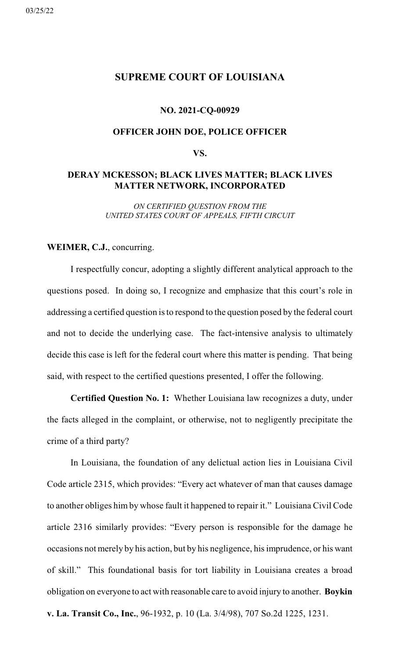# <span id="page-16-0"></span>**SUPREME COURT OF LOUISIANA**

#### **NO. 2021-CQ-00929**

# **OFFICER JOHN DOE, POLICE OFFICER**

# **VS.**

# **DERAY MCKESSON; BLACK LIVES MATTER; BLACK LIVES MATTER NETWORK, INCORPORATED**

*ON CERTIFIED QUESTION FROM THE UNITED STATES COURT OF APPEALS, FIFTH CIRCUIT*

# **WEIMER, C.J.**, concurring.

I respectfully concur, adopting a slightly different analytical approach to the questions posed. In doing so, I recognize and emphasize that this court's role in addressing a certified question is to respond to the question posed by the federal court and not to decide the underlying case. The fact-intensive analysis to ultimately decide this case is left for the federal court where this matter is pending. That being said, with respect to the certified questions presented, I offer the following.

**Certified Question No. 1:** Whether Louisiana law recognizes a duty, under the facts alleged in the complaint, or otherwise, not to negligently precipitate the crime of a third party?

In Louisiana, the foundation of any delictual action lies in Louisiana Civil Code article 2315, which provides: "Every act whatever of man that causes damage to another obliges him by whose fault it happened to repair it." Louisiana Civil Code article 2316 similarly provides: "Every person is responsible for the damage he occasions not merely by his action, but by his negligence, his imprudence, or his want of skill." This foundational basis for tort liability in Louisiana creates a broad obligation on everyone to act with reasonable care to avoid injury to another. **Boykin**

**v. La. Transit Co., Inc.**, 96-1932, p. 10 (La. 3/4/98), 707 So.2d 1225, 1231.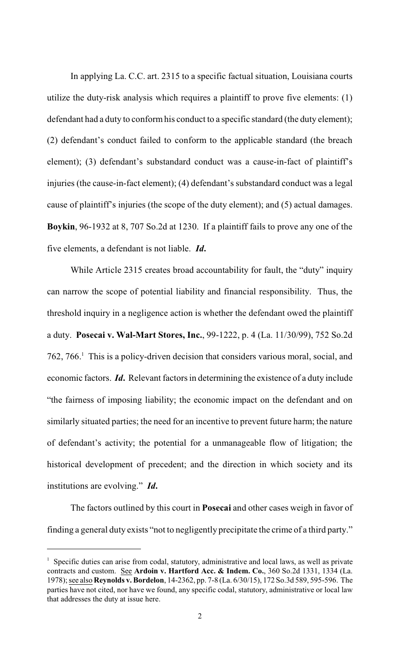In applying La. C.C. art. 2315 to a specific factual situation, Louisiana courts utilize the duty-risk analysis which requires a plaintiff to prove five elements: (1) defendant had a duty to conformhis conduct to a specific standard (the duty element); (2) defendant's conduct failed to conform to the applicable standard (the breach element); (3) defendant's substandard conduct was a cause-in-fact of plaintiff's injuries (the cause-in-fact element); (4) defendant's substandard conduct was a legal cause of plaintiff's injuries (the scope of the duty element); and (5) actual damages. **Boykin**, 96-1932 at 8, 707 So.2d at 1230. If a plaintiff fails to prove any one of the five elements, a defendant is not liable. *Id***.**

While Article 2315 creates broad accountability for fault, the "duty" inquiry can narrow the scope of potential liability and financial responsibility. Thus, the threshold inquiry in a negligence action is whether the defendant owed the plaintiff a duty. **Posecai v. Wal-Mart Stores, Inc.**, 99-1222, p. 4 (La. 11/30/99), 752 So.2d 762, 766. <sup>1</sup> This is a policy-driven decision that considers various moral, social, and economic factors. *Id*. Relevant factors in determining the existence of a duty include "the fairness of imposing liability; the economic impact on the defendant and on similarly situated parties; the need for an incentive to prevent future harm; the nature of defendant's activity; the potential for a unmanageable flow of litigation; the historical development of precedent; and the direction in which society and its institutions are evolving." *Id***.**

The factors outlined by this court in **Posecai** and other cases weigh in favor of finding a general duty exists "not to negligently precipitate the crime of a third party."

 $1$  Specific duties can arise from codal, statutory, administrative and local laws, as well as private contracts and custom. See **Ardoin v. Hartford Acc. & Indem. Co.**, 360 So.2d 1331, 1334 (La. 1978); see also **Reynolds v. Bordelon**, 14-2362, pp. 7-8 (La. 6/30/15), 172 So.3d 589, 595-596. The parties have not cited, nor have we found, any specific codal, statutory, administrative or local law that addresses the duty at issue here.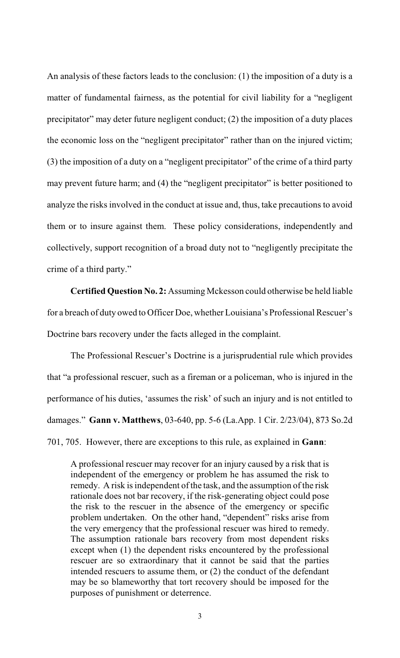An analysis of these factors leads to the conclusion: (1) the imposition of a duty is a matter of fundamental fairness, as the potential for civil liability for a "negligent precipitator" may deter future negligent conduct; (2) the imposition of a duty places the economic loss on the "negligent precipitator" rather than on the injured victim; (3) the imposition of a duty on a "negligent precipitator" of the crime of a third party may prevent future harm; and (4) the "negligent precipitator" is better positioned to analyze the risks involved in the conduct at issue and, thus, take precautions to avoid them or to insure against them. These policy considerations, independently and collectively, support recognition of a broad duty not to "negligently precipitate the crime of a third party."

**Certified Question No. 2:** Assuming Mckesson could otherwise be held liable for a breach of duty owed to Officer Doe, whether Louisiana's Professional Rescuer's Doctrine bars recovery under the facts alleged in the complaint.

The Professional Rescuer's Doctrine is a jurisprudential rule which provides that "a professional rescuer, such as a fireman or a policeman, who is injured in the performance of his duties, 'assumes the risk' of such an injury and is not entitled to damages." **Gann v. Matthews**, 03-640, pp. 5-6 (La.App. 1 Cir. 2/23/04), 873 So.2d 701, 705. However, there are exceptions to this rule, as explained in **Gann**:

A professional rescuer may recover for an injury caused by a risk that is independent of the emergency or problem he has assumed the risk to remedy. A risk is independent of the task, and the assumption of the risk rationale does not bar recovery, if the risk-generating object could pose the risk to the rescuer in the absence of the emergency or specific problem undertaken. On the other hand, "dependent" risks arise from the very emergency that the professional rescuer was hired to remedy. The assumption rationale bars recovery from most dependent risks except when (1) the dependent risks encountered by the professional rescuer are so extraordinary that it cannot be said that the parties intended rescuers to assume them, or (2) the conduct of the defendant may be so blameworthy that tort recovery should be imposed for the purposes of punishment or deterrence.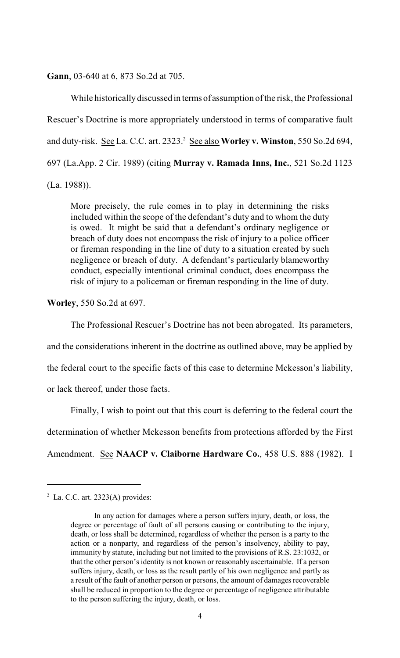**Gann**, 03-640 at 6, 873 So.2d at 705.

While historically discussed in terms of assumption of the risk, the Professional Rescuer's Doctrine is more appropriately understood in terms of comparative fault and duty-risk. See La. C.C. art. 2323. <sup>2</sup> See also **Worley v. Winston**, 550 So.2d 694, 697 (La.App. 2 Cir. 1989) (citing **Murray v. Ramada Inns, Inc.**, 521 So.2d 1123 (La. 1988)).

More precisely, the rule comes in to play in determining the risks included within the scope of the defendant's duty and to whom the duty is owed. It might be said that a defendant's ordinary negligence or breach of duty does not encompass the risk of injury to a police officer or fireman responding in the line of duty to a situation created by such negligence or breach of duty. A defendant's particularly blameworthy conduct, especially intentional criminal conduct, does encompass the risk of injury to a policeman or fireman responding in the line of duty.

**Worley**, 550 So.2d at 697.

The Professional Rescuer's Doctrine has not been abrogated. Its parameters, and the considerations inherent in the doctrine as outlined above, may be applied by the federal court to the specific facts of this case to determine Mckesson's liability, or lack thereof, under those facts.

Finally, I wish to point out that this court is deferring to the federal court the determination of whether Mckesson benefits from protections afforded by the First Amendment. See **NAACP v. Claiborne Hardware Co.**, 458 U.S. 888 (1982). I

 $2^2$  La. C.C. art. 2323(A) provides:

In any action for damages where a person suffers injury, death, or loss, the degree or percentage of fault of all persons causing or contributing to the injury, death, or loss shall be determined, regardless of whether the person is a party to the action or a nonparty, and regardless of the person's insolvency, ability to pay, immunity by statute, including but not limited to the provisions of R.S. 23:1032, or that the other person's identity is not known or reasonably ascertainable. If a person suffers injury, death, or loss as the result partly of his own negligence and partly as a result of the fault of another person or persons, the amount of damages recoverable shall be reduced in proportion to the degree or percentage of negligence attributable to the person suffering the injury, death, or loss.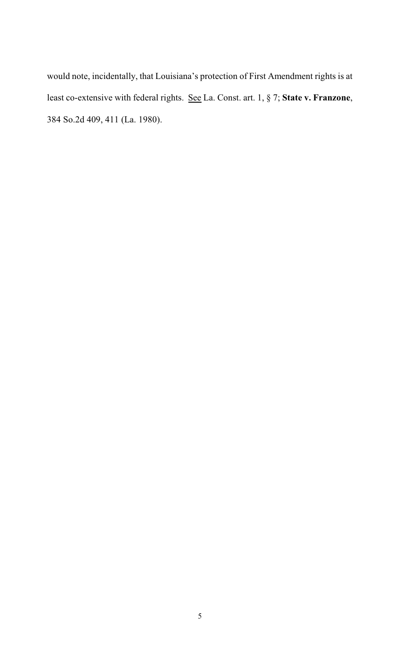would note, incidentally, that Louisiana's protection of First Amendment rights is at least co-extensive with federal rights. See La. Const. art. 1, § 7; **State v. Franzone**, 384 So.2d 409, 411 (La. 1980).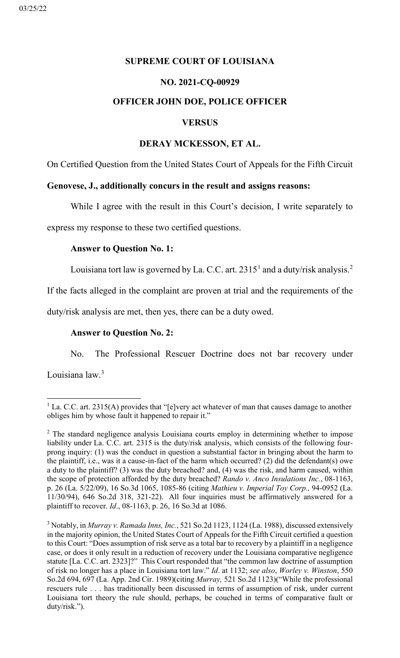# <span id="page-21-0"></span>**SUPREME COURT OF LOUISIANA**

# **NO. 2021-CQ-00929**

# **OFFICER JOHN DOE, POLICE OFFICER**

# **VERSUS**

# **DERAY MCKESSON, ET AL.**

On Certified Question from the United States Court of Appeals for the Fifth Circuit

# **Genovese, J., additionally concurs in the result and assigns reasons:**

While I agree with the result in this Court's decision, I write separately to

express my response to these two certified questions.

# **Answer to Question No. 1:**

Louisiana tort law is governed by La. C.C. art. 23[1](#page-21-1)5<sup>1</sup> and a duty/risk analysis.<sup>[2](#page-21-2)</sup>

If the facts alleged in the complaint are proven at trial and the requirements of the

duty/risk analysis are met, then yes, there can be a duty owed.

# **Answer to Question No. 2:**

No. The Professional Rescuer Doctrine does not bar recovery under

Louisiana law.<sup>[3](#page-21-3)</sup>

<span id="page-21-1"></span><sup>&</sup>lt;sup>1</sup> La. C.C. art. 2315(A) provides that "[e]very act whatever of man that causes damage to another obliges him by whose fault it happened to repair it."

<span id="page-21-2"></span> $2$  The standard negligence analysis Louisiana courts employ in determining whether to impose liability under La. C.C. art. 2315 is the duty/risk analysis, which consists of the following fourprong inquiry: (1) was the conduct in question a substantial factor in bringing about the harm to the plaintiff, i.e., was it a cause-in-fact of the harm which occurred? (2) did the defendant(s) owe a duty to the plaintiff? (3) was the duty breached? and, (4) was the risk, and harm caused, within the scope of protection afforded by the duty breached? *Rando v. Anco Insulations Inc.*, 08-1163, p. 26 (La. 5/22/09), 16 So.3d 1065, 1085-86 (citing *Mathieu v. Imperial Toy Corp.,* 94-0952 (La. 11/30/94), 646 So.2d 318, 321-22). All four inquiries must be affirmatively answered for a plaintiff to recover. *Id*., 08-1163, p. 26, 16 So.3d at 1086.

<span id="page-21-3"></span><sup>3</sup> Notably, in *Murray v. Ramada Inns, Inc.*, 521 So.2d 1123, 1124 (La. 1988), discussed extensively in the majority opinion, the United States Court of Appeals for the Fifth Circuit certified a question to this Court: "Does assumption of risk serve as a total bar to recovery by a plaintiff in a negligence case, or does it only result in a reduction of recovery under the Louisiana comparative negligence statute [La. C.C. art. 2323]?" This Court responded that "the common law doctrine of assumption of risk no longer has a place in Louisiana tort law." *Id*. at 1132; *see also*, *Worley v. Winston*, 550 So.2d 694, 697 (La. App. 2nd Cir. 1989)(citing *Murray,* 521 So.2d 1123)("While the professional rescuers rule . . . has traditionally been discussed in terms of assumption of risk, under current Louisiana tort theory the rule should, perhaps, be couched in terms of comparative fault or duty/risk.").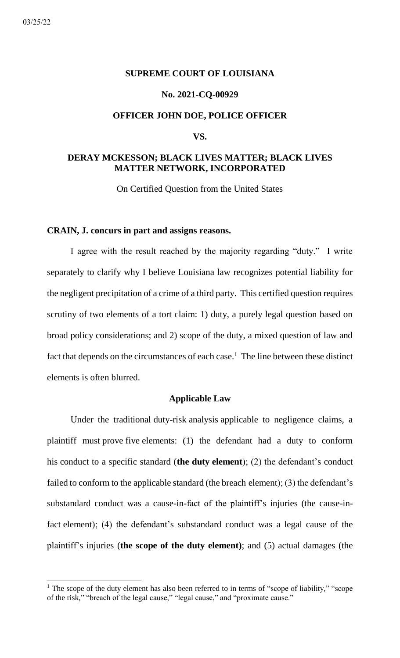#### <span id="page-22-0"></span>**SUPREME COURT OF LOUISIANA**

#### **No. 2021-CQ-00929**

# **OFFICER JOHN DOE, POLICE OFFICER**

#### **VS.**

# **DERAY MCKESSON; BLACK LIVES MATTER; BLACK LIVES MATTER NETWORK, INCORPORATED**

On Certified Question from the United States

#### **CRAIN, J. concurs in part and assigns reasons.**

I agree with the result reached by the majority regarding "duty." I write separately to clarify why I believe Louisiana law recognizes potential liability for the negligent precipitation of a crime of a third party. This certified question requires scrutiny of two elements of a tort claim: 1) duty, a purely legal question based on broad policy considerations; and 2) scope of the duty, a mixed question of law and fact that depends on the circumstances of each case.<sup>1</sup> The line between these distinct elements is often blurred.

# **Applicable Law**

Under the traditional duty-risk analysis applicable to negligence claims, a plaintiff must prove five elements: (1) the defendant had a duty to conform his conduct to a specific standard (**the duty element**); (2) the defendant's conduct failed to conform to the applicable standard (the breach element); (3) the defendant's substandard conduct was a cause-in-fact of the plaintiff's injuries (the cause-infact element); (4) the defendant's substandard conduct was a legal cause of the plaintiff's injuries (**the scope of the duty element)**; and (5) actual damages (the

<sup>&</sup>lt;sup>1</sup> The scope of the duty element has also been referred to in terms of "scope of liability," "scope of the risk," "breach of the legal cause," "legal cause," and "proximate cause."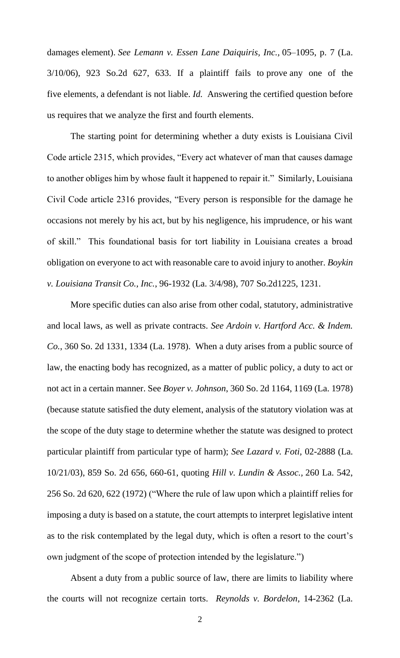damages element). *See Lemann v. Essen Lane Daiquiris, Inc.,* 05–1095, p. 7 (La. 3/10/06), 923 So.2d 627, 633. If a plaintiff fails to prove any one of the five elements, a defendant is not liable. *Id.* Answering the certified question before us requires that we analyze the first and fourth elements.

The starting point for determining whether a duty exists is Louisiana Civil Code article 2315, which provides, "Every act whatever of man that causes damage to another obliges him by whose fault it happened to repair it." Similarly, Louisiana Civil Code article 2316 provides, "Every person is responsible for the damage he occasions not merely by his act, but by his negligence, his imprudence, or his want of skill." This foundational basis for tort liability in Louisiana creates a broad obligation on everyone to act with reasonable care to avoid injury to another. *Boykin v. Louisiana Transit Co., Inc.*, 96-1932 (La. 3/4/98), 707 So.2d1225, 1231.

More specific duties can also arise from other codal, statutory, administrative and local laws, as well as private contracts. *See Ardoin v. Hartford Acc. & Indem. Co.*, 360 So. 2d 1331, 1334 (La. 1978). When a duty arises from a public source of law, the enacting body has recognized, as a matter of public policy, a duty to act or not act in a certain manner. See *Boyer v. Johnson*, 360 So. 2d 1164, 1169 (La. 1978) (because statute satisfied the duty element, analysis of the statutory violation was at the scope of the duty stage to determine whether the statute was designed to protect particular plaintiff from particular type of harm); *See Lazard v. Foti,* 02-2888 (La. 10/21/03), 859 So. 2d 656, 660-61, quoting *Hill v. Lundin & Assoc.,* 260 La. 542, 256 So. 2d 620, 622 (1972) ("Where the rule of law upon which a plaintiff relies for imposing a duty is based on a statute, the court attempts to interpret legislative intent as to the risk contemplated by the legal duty, which is often a resort to the court's own judgment of the scope of protection intended by the legislature.")

Absent a duty from a public source of law, there are limits to liability where the courts will not recognize certain torts. *Reynolds v. Bordelon*, 14-2362 (La.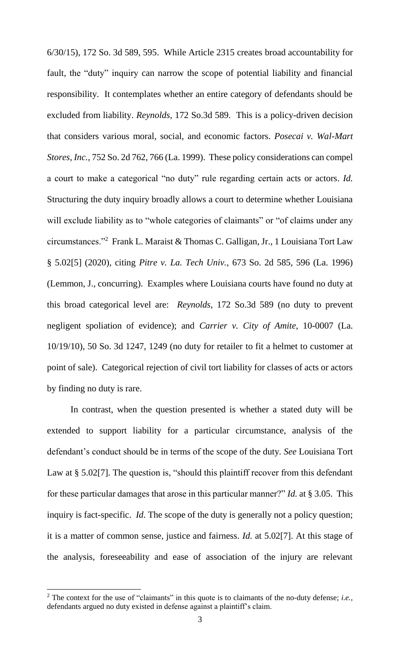6/30/15), 172 So. 3d 589, 595. While Article 2315 creates broad accountability for fault, the "duty" inquiry can narrow the scope of potential liability and financial responsibility. It contemplates whether an entire category of defendants should be excluded from liability. *Reynolds*, 172 So.3d 589. This is a policy-driven decision that considers various moral, social, and economic factors. *Posecai v. Wal-Mart Stores, Inc.*, 752 So. 2d 762, 766 (La. 1999). These policy considerations can compel a court to make a categorical "no duty" rule regarding certain acts or actors. *Id.*  Structuring the duty inquiry broadly allows a court to determine whether Louisiana will exclude liability as to "whole categories of claimants" or "of claims under any circumstances."<sup>2</sup> Frank L. Maraist & Thomas C. Galligan, Jr., 1 Louisiana Tort Law § 5.02[5] (2020), citing *Pitre v. La. Tech Univ.,* 673 So. 2d 585, 596 (La. 1996) (Lemmon, J., concurring). Examples where Louisiana courts have found no duty at this broad categorical level are: *Reynolds*, 172 So.3d 589 (no duty to prevent negligent spoliation of evidence); and *Carrier v. City of Amite*, 10-0007 (La. 10/19/10), 50 So. 3d 1247, 1249 (no duty for retailer to fit a helmet to customer at point of sale). Categorical rejection of civil tort liability for classes of acts or actors by finding no duty is rare.

In contrast, when the question presented is whether a stated duty will be extended to support liability for a particular circumstance, analysis of the defendant's conduct should be in terms of the scope of the duty*. See* Louisiana Tort Law at § 5.02[7]. The question is, "should this plaintiff recover from this defendant for these particular damages that arose in this particular manner?" *Id.* at § 3.05.This inquiry is fact-specific. *Id.* The scope of the duty is generally not a policy question; it is a matter of common sense, justice and fairness. *Id.* at 5.02[7]. At this stage of the analysis, foreseeability and ease of association of the injury are relevant

<sup>&</sup>lt;sup>2</sup> The context for the use of "claimants" in this quote is to claimants of the no-duty defense; *i.e.*, defendants argued no duty existed in defense against a plaintiff's claim.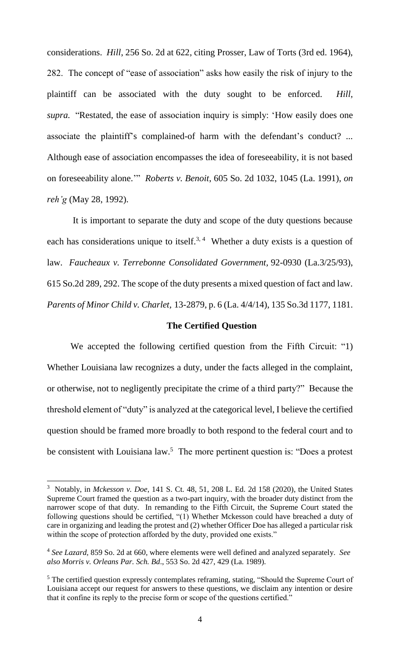considerations. *Hill*, 256 So. 2d at 622, citing Prosser, Law of Torts (3rd ed. 1964), 282. The concept of "ease of association" asks how easily the risk of injury to the plaintiff can be associated with the duty sought to be enforced. *Hill, supra.* "Restated, the ease of association inquiry is simply: 'How easily does one associate the plaintiff's complained-of harm with the defendant's conduct? ... Although ease of association encompasses the idea of foreseeability, it is not based on foreseeability alone.'" *Roberts v. Benoit*, 605 So. 2d 1032, 1045 (La. 1991), *on reh'g* (May 28, 1992).

It is important to separate the duty and scope of the duty questions because each has considerations unique to itself.<sup>3, 4</sup> Whether a duty exists is a question of law. *Faucheaux v. Terrebonne Consolidated Government,* 92-0930 (La.3/25/93), 615 So.2d 289, 292. The scope of the duty presents a mixed question of fact and law. *Parents of Minor Child v. Charlet,* 13-2879, p. 6 (La. 4/4/14), 135 So.3d 1177, 1181.

# **The Certified Question**

We accepted the following certified question from the Fifth Circuit: "1) Whether Louisiana law recognizes a duty, under the facts alleged in the complaint, or otherwise, not to negligently precipitate the crime of a third party?" Because the threshold element of "duty" is analyzed at the categorical level, I believe the certified question should be framed more broadly to both respond to the federal court and to be consistent with Louisiana law.<sup>5</sup> The more pertinent question is: "Does a protest

<sup>3</sup> Notably, in *Mckesson v. Doe*, 141 S. Ct. 48, 51, 208 L. Ed. 2d 158 (2020), the United States Supreme Court framed the question as a two-part inquiry, with the broader duty distinct from the narrower scope of that duty. In remanding to the Fifth Circuit, the Supreme Court stated the following questions should be certified, "(1) Whether Mckesson could have breached a duty of care in organizing and leading the protest and (2) whether Officer Doe has alleged a particular risk within the scope of protection afforded by the duty, provided one exists."

<sup>4</sup> *See Lazard,* 859 So. 2d at 660, where elements were well defined and analyzed separately. *See also Morris v. Orleans Par. Sch. Bd*., 553 So. 2d 427, 429 (La. 1989).

<sup>&</sup>lt;sup>5</sup> The certified question expressly contemplates reframing, stating, "Should the Supreme Court of Louisiana accept our request for answers to these questions, we disclaim any intention or desire that it confine its reply to the precise form or scope of the questions certified."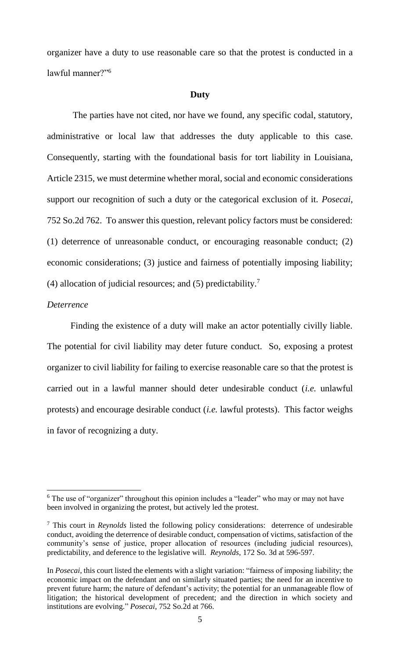organizer have a duty to use reasonable care so that the protest is conducted in a lawful manner?"<sup>6</sup>

#### **Duty**

The parties have not cited, nor have we found, any specific codal, statutory, administrative or local law that addresses the duty applicable to this case. Consequently, starting with the foundational basis for tort liability in Louisiana, Article 2315, we must determine whether moral, social and economic considerations support our recognition of such a duty or the categorical exclusion of it. *Posecai*, 752 So.2d 762. To answer this question, relevant policy factors must be considered: (1) deterrence of unreasonable conduct, or encouraging reasonable conduct; (2) economic considerations; (3) justice and fairness of potentially imposing liability; (4) allocation of judicial resources; and (5) predictability.<sup>7</sup>

# *Deterrence*

Finding the existence of a duty will make an actor potentially civilly liable. The potential for civil liability may deter future conduct. So, exposing a protest organizer to civil liability for failing to exercise reasonable care so that the protest is carried out in a lawful manner should deter undesirable conduct (*i.e.* unlawful protests) and encourage desirable conduct (*i.e.* lawful protests). This factor weighs in favor of recognizing a duty.

<sup>&</sup>lt;sup>6</sup> The use of "organizer" throughout this opinion includes a "leader" who may or may not have been involved in organizing the protest, but actively led the protest.

<sup>7</sup> This court in *Reynolds* listed the following policy considerations: deterrence of undesirable conduct, avoiding the deterrence of desirable conduct, compensation of victims, satisfaction of the community's sense of justice, proper allocation of resources (including judicial resources), predictability, and deference to the legislative will. *Reynolds*, 172 So. 3d at 596-597.

In *Posecai*, this court listed the elements with a slight variation: "fairness of imposing liability; the economic impact on the defendant and on similarly situated parties; the need for an incentive to prevent future harm; the nature of defendant's activity; the potential for an unmanageable flow of litigation; the historical development of precedent; and the direction in which society and institutions are evolving." *Posecai*, 752 So.2d at 766.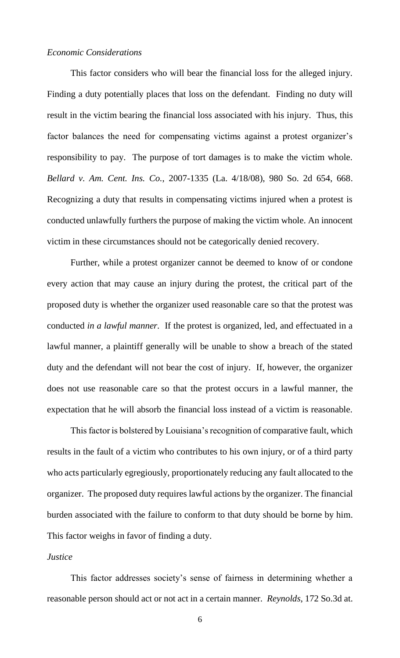# *Economic Considerations*

This factor considers who will bear the financial loss for the alleged injury. Finding a duty potentially places that loss on the defendant. Finding no duty will result in the victim bearing the financial loss associated with his injury. Thus, this factor balances the need for compensating victims against a protest organizer's responsibility to pay. The purpose of tort damages is to make the victim whole. *Bellard v. Am. Cent. Ins. Co.*, 2007-1335 (La. 4/18/08), 980 So. 2d 654, 668. Recognizing a duty that results in compensating victims injured when a protest is conducted unlawfully furthers the purpose of making the victim whole. An innocent victim in these circumstances should not be categorically denied recovery.

Further, while a protest organizer cannot be deemed to know of or condone every action that may cause an injury during the protest, the critical part of the proposed duty is whether the organizer used reasonable care so that the protest was conducted *in a lawful manner.* If the protest is organized, led, and effectuated in a lawful manner, a plaintiff generally will be unable to show a breach of the stated duty and the defendant will not bear the cost of injury. If, however, the organizer does not use reasonable care so that the protest occurs in a lawful manner, the expectation that he will absorb the financial loss instead of a victim is reasonable.

This factor is bolstered by Louisiana's recognition of comparative fault, which results in the fault of a victim who contributes to his own injury, or of a third party who acts particularly egregiously, proportionately reducing any fault allocated to the organizer. The proposed duty requires lawful actions by the organizer. The financial burden associated with the failure to conform to that duty should be borne by him. This factor weighs in favor of finding a duty.

#### *Justice*

This factor addresses society's sense of fairness in determining whether a reasonable person should act or not act in a certain manner. *Reynolds*, 172 So.3d at.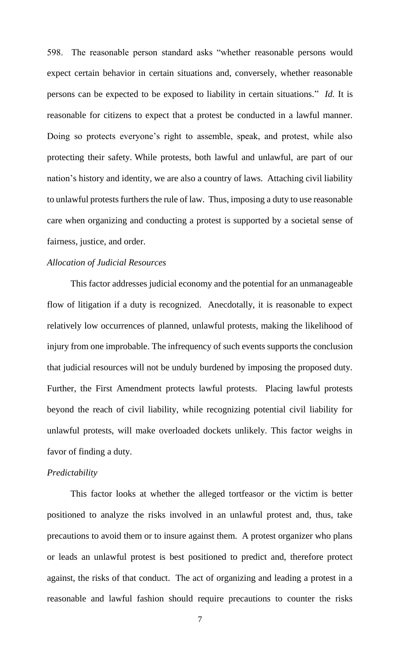598. The reasonable person standard asks "whether reasonable persons would expect certain behavior in certain situations and, conversely, whether reasonable persons can be expected to be exposed to liability in certain situations." *Id.* It is reasonable for citizens to expect that a protest be conducted in a lawful manner. Doing so protects everyone's right to assemble, speak, and protest, while also protecting their safety. While protests, both lawful and unlawful, are part of our nation's history and identity, we are also a country of laws. Attaching civil liability to unlawful protests furthers the rule of law. Thus, imposing a duty to use reasonable care when organizing and conducting a protest is supported by a societal sense of fairness, justice, and order.

# *Allocation of Judicial Resources*

This factor addresses judicial economy and the potential for an unmanageable flow of litigation if a duty is recognized. Anecdotally, it is reasonable to expect relatively low occurrences of planned, unlawful protests, making the likelihood of injury from one improbable. The infrequency of such events supports the conclusion that judicial resources will not be unduly burdened by imposing the proposed duty. Further, the First Amendment protects lawful protests. Placing lawful protests beyond the reach of civil liability, while recognizing potential civil liability for unlawful protests, will make overloaded dockets unlikely. This factor weighs in favor of finding a duty.

# *Predictability*

This factor looks at whether the alleged tortfeasor or the victim is better positioned to analyze the risks involved in an unlawful protest and, thus, take precautions to avoid them or to insure against them. A protest organizer who plans or leads an unlawful protest is best positioned to predict and, therefore protect against, the risks of that conduct. The act of organizing and leading a protest in a reasonable and lawful fashion should require precautions to counter the risks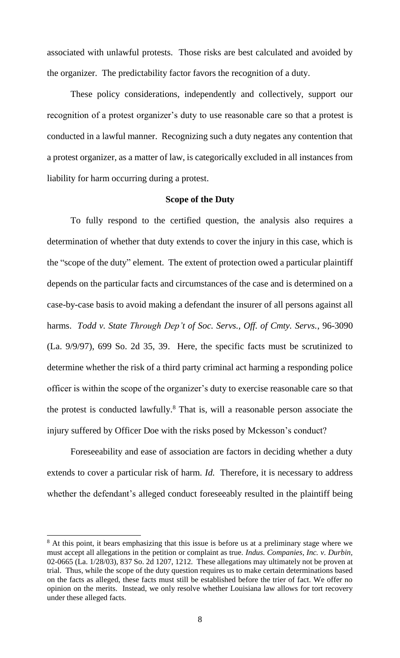associated with unlawful protests. Those risks are best calculated and avoided by the organizer. The predictability factor favors the recognition of a duty.

These policy considerations, independently and collectively, support our recognition of a protest organizer's duty to use reasonable care so that a protest is conducted in a lawful manner. Recognizing such a duty negates any contention that a protest organizer, as a matter of law, is categorically excluded in all instances from liability for harm occurring during a protest.

# **Scope of the Duty**

To fully respond to the certified question, the analysis also requires a determination of whether that duty extends to cover the injury in this case, which is the "scope of the duty" element. The extent of protection owed a particular plaintiff depends on the particular facts and circumstances of the case and is determined on a case-by-case basis to avoid making a defendant the insurer of all persons against all harms. *Todd v. State Through Dep't of Soc. Servs., Off. of Cmty. Servs.*, 96-3090 (La. 9/9/97), 699 So. 2d 35, 39. Here, the specific facts must be scrutinized to determine whether the risk of a third party criminal act harming a responding police officer is within the scope of the organizer's duty to exercise reasonable care so that the protest is conducted lawfully.<sup>8</sup> That is, will a reasonable person associate the injury suffered by Officer Doe with the risks posed by Mckesson's conduct?

Foreseeability and ease of association are factors in deciding whether a duty extends to cover a particular risk of harm. *Id.* Therefore, it is necessary to address whether the defendant's alleged conduct foreseeably resulted in the plaintiff being

<sup>&</sup>lt;sup>8</sup> At this point, it bears emphasizing that this issue is before us at a preliminary stage where we must accept all allegations in the petition or complaint as true. *Indus. Companies, Inc. v. Durbin,*  02-0665 (La. 1/28/03), 837 So. 2d 1207, 1212. These allegations may ultimately not be proven at trial. Thus, while the scope of the duty question requires us to make certain determinations based on the facts as alleged, these facts must still be established before the trier of fact. We offer no opinion on the merits. Instead, we only resolve whether Louisiana law allows for tort recovery under these alleged facts.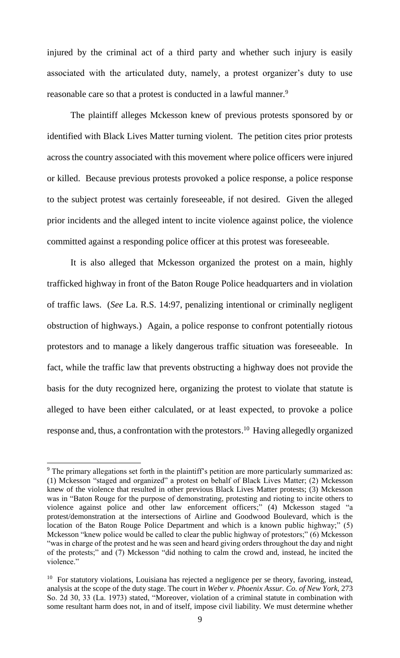injured by the criminal act of a third party and whether such injury is easily associated with the articulated duty, namely, a protest organizer's duty to use reasonable care so that a protest is conducted in a lawful manner.<sup>9</sup>

The plaintiff alleges Mckesson knew of previous protests sponsored by or identified with Black Lives Matter turning violent. The petition cites prior protests across the country associated with this movement where police officers were injured or killed. Because previous protests provoked a police response, a police response to the subject protest was certainly foreseeable, if not desired. Given the alleged prior incidents and the alleged intent to incite violence against police, the violence committed against a responding police officer at this protest was foreseeable.

It is also alleged that Mckesson organized the protest on a main, highly trafficked highway in front of the Baton Rouge Police headquarters and in violation of traffic laws. (*See* La. R.S. 14:97, penalizing intentional or criminally negligent obstruction of highways.) Again, a police response to confront potentially riotous protestors and to manage a likely dangerous traffic situation was foreseeable. In fact, while the traffic law that prevents obstructing a highway does not provide the basis for the duty recognized here, organizing the protest to violate that statute is alleged to have been either calculated, or at least expected, to provoke a police response and, thus, a confrontation with the protestors. <sup>10</sup> Having allegedly organized

 $9<sup>9</sup>$  The primary allegations set forth in the plaintiff's petition are more particularly summarized as: (1) Mckesson "staged and organized" a protest on behalf of Black Lives Matter; (2) Mckesson knew of the violence that resulted in other previous Black Lives Matter protests; (3) Mckesson was in "Baton Rouge for the purpose of demonstrating, protesting and rioting to incite others to violence against police and other law enforcement officers;" (4) Mckesson staged "a protest/demonstration at the intersections of Airline and Goodwood Boulevard, which is the location of the Baton Rouge Police Department and which is a known public highway;" (5) Mckesson "knew police would be called to clear the public highway of protestors;" (6) Mckesson "was in charge of the protest and he was seen and heard giving orders throughout the day and night of the protests;" and (7) Mckesson "did nothing to calm the crowd and, instead, he incited the violence."

<sup>&</sup>lt;sup>10</sup> For statutory violations, Louisiana has rejected a negligence per se theory, favoring, instead, analysis at the scope of the duty stage. The court in *Weber v. Phoenix Assur. Co. of New York*, 273 So. 2d 30, 33 (La. 1973) stated, "Moreover, violation of a criminal statute in combination with some resultant harm does not, in and of itself, impose civil liability. We must determine whether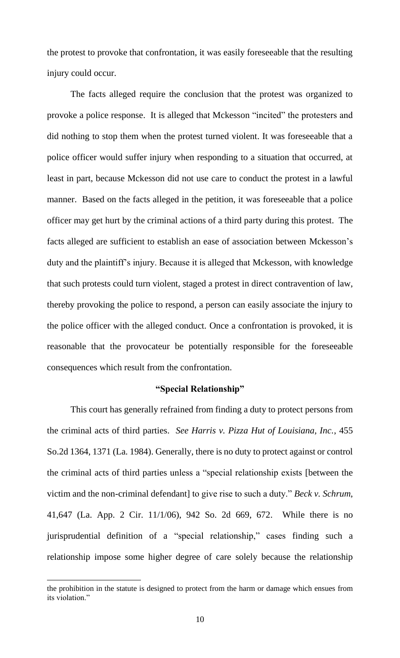the protest to provoke that confrontation, it was easily foreseeable that the resulting injury could occur.

The facts alleged require the conclusion that the protest was organized to provoke a police response. It is alleged that Mckesson "incited" the protesters and did nothing to stop them when the protest turned violent. It was foreseeable that a police officer would suffer injury when responding to a situation that occurred, at least in part, because Mckesson did not use care to conduct the protest in a lawful manner. Based on the facts alleged in the petition, it was foreseeable that a police officer may get hurt by the criminal actions of a third party during this protest. The facts alleged are sufficient to establish an ease of association between Mckesson's duty and the plaintiff's injury. Because it is alleged that Mckesson, with knowledge that such protests could turn violent, staged a protest in direct contravention of law, thereby provoking the police to respond, a person can easily associate the injury to the police officer with the alleged conduct. Once a confrontation is provoked, it is reasonable that the provocateur be potentially responsible for the foreseeable consequences which result from the confrontation.

# **"Special Relationship"**

This court has generally refrained from finding a duty to protect persons from the criminal acts of third parties. *See Harris v. Pizza Hut of Louisiana, Inc.*, 455 So.2d 1364, 1371 (La. 1984). Generally, there is no duty to protect against or control the criminal acts of third parties unless a "special relationship exists [between the victim and the non-criminal defendant] to give rise to such a duty." *Beck v. Schrum*, 41,647 (La. App. 2 Cir. 11/1/06), 942 So. 2d 669, 672. While there is no jurisprudential definition of a "special relationship," cases finding such a relationship impose some higher degree of care solely because the relationship

the prohibition in the statute is designed to protect from the harm or damage which ensues from its violation."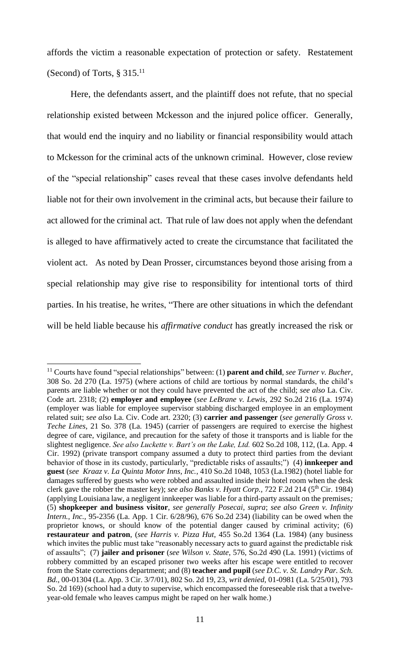affords the victim a reasonable expectation of protection or safety. Restatement (Second) of Torts,  $\S 315$ .<sup>11</sup>

Here, the defendants assert, and the plaintiff does not refute, that no special relationship existed between Mckesson and the injured police officer. Generally, that would end the inquiry and no liability or financial responsibility would attach to Mckesson for the criminal acts of the unknown criminal. However, close review of the "special relationship" cases reveal that these cases involve defendants held liable not for their own involvement in the criminal acts, but because their failure to act allowed for the criminal act. That rule of law does not apply when the defendant is alleged to have affirmatively acted to create the circumstance that facilitated the violent act. As noted by Dean Prosser, circumstances beyond those arising from a special relationship may give rise to responsibility for intentional torts of third parties. In his treatise, he writes, "There are other situations in which the defendant will be held liable because his *affirmative conduct* has greatly increased the risk or

<sup>11</sup> Courts have found "special relationships" between: (1) **parent and child**, *see Turner v. Bucher*, 308 So. 2d 270 (La. 1975) (where actions of child are tortious by normal standards, the child's parents are liable whether or not they could have prevented the act of the child; *see also* La. Civ. Code art. 2318; (2) **employer and employee** (*see LeBrane v. Lewis*, 292 So.2d 216 (La. 1974) (employer was liable for employee supervisor stabbing discharged employee in an employment related suit; *see also* La. Civ. Code art. 2320; (3) **carrier and passenger** (*see generally Gross v. Teche Lines*, 21 So. 378 (La. 1945) (carrier of passengers are required to exercise the highest degree of care, vigilance, and precaution for the safety of those it transports and is liable for the slightest negligence. *See also Luckette v. Bart's on the Lake, Ltd.* 602 So.2d 108, 112, (La. App. 4 Cir. 1992) (private transport company assumed a duty to protect third parties from the deviant behavior of those in its custody, particularly, "predictable risks of assaults;") (4) **innkeeper and guest** (*see Kraaz v. La Quinta Motor Inns, Inc.*, 410 So.2d 1048, 1053 (La.1982) (hotel liable for damages suffered by guests who were robbed and assaulted inside their hotel room when the desk clerk gave the robber the master key); *see also Banks v. Hyatt Corp.*, 722 F.2d 214 (5<sup>th</sup> Cir. 1984) (applying Louisiana law, a negligent innkeeper was liable for a third-party assault on the premises*;* (5) **shopkeeper and business visitor**, *see generally Posecai, supra*; *see also Green v. Infinity Intern., Inc.,* 95-2356 (La. App. 1 Cir. 6/28/96), 676 So.2d 234) (liability can be owed when the proprietor knows, or should know of the potential danger caused by criminal activity; (6) **restaurateur and patron**, (*see Harris v. Pizza Hut*, 455 So.2d 1364 (La. 1984) (any business which invites the public must take "reasonably necessary acts to guard against the predictable risk of assaults"; (7) **jailer and prisoner** (*see Wilson v. State*, 576, So.2d 490 (La. 1991) (victims of robbery committed by an escaped prisoner two weeks after his escape were entitled to recover from the State corrections department; and (8) **teacher and pupil** (*see D.C. v. St. Landry Par. Sch. Bd.,* 00-01304 (La. App. 3 Cir. 3/7/01), 802 So. 2d 19, 23, *writ denied,* 01-0981 (La. 5/25/01), 793 So. 2d 169) (school had a duty to supervise, which encompassed the foreseeable risk that a twelveyear-old female who leaves campus might be raped on her walk home.)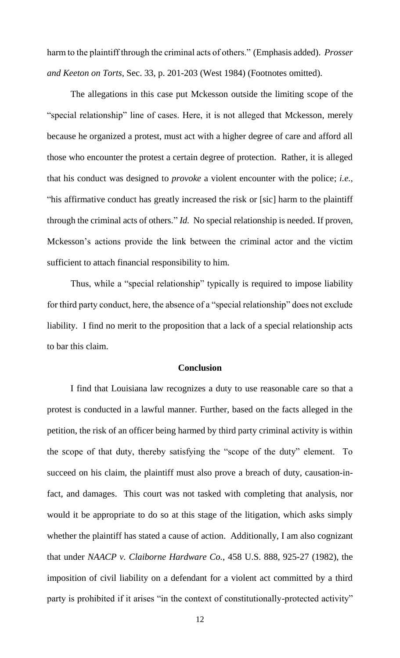harm to the plaintiff through the criminal acts of others." (Emphasis added). *Prosser and Keeton on Torts,* Sec. 33, p. 201-203 (West 1984) (Footnotes omitted).

The allegations in this case put Mckesson outside the limiting scope of the "special relationship" line of cases. Here, it is not alleged that Mckesson, merely because he organized a protest, must act with a higher degree of care and afford all those who encounter the protest a certain degree of protection. Rather, it is alleged that his conduct was designed to *provoke* a violent encounter with the police; *i.e.,*  "his affirmative conduct has greatly increased the risk or [sic] harm to the plaintiff through the criminal acts of others*.*" *Id.* No special relationship is needed. If proven, Mckesson's actions provide the link between the criminal actor and the victim sufficient to attach financial responsibility to him.

Thus, while a "special relationship" typically is required to impose liability for third party conduct, here, the absence of a "special relationship" does not exclude liability. I find no merit to the proposition that a lack of a special relationship acts to bar this claim.

# **Conclusion**

I find that Louisiana law recognizes a duty to use reasonable care so that a protest is conducted in a lawful manner. Further, based on the facts alleged in the petition, the risk of an officer being harmed by third party criminal activity is within the scope of that duty, thereby satisfying the "scope of the duty" element. To succeed on his claim, the plaintiff must also prove a breach of duty, causation-infact, and damages. This court was not tasked with completing that analysis, nor would it be appropriate to do so at this stage of the litigation, which asks simply whether the plaintiff has stated a cause of action. Additionally, I am also cognizant that under *NAACP v. Claiborne Hardware Co.*, 458 U.S. 888, 925-27 (1982), the imposition of civil liability on a defendant for a violent act committed by a third party is prohibited if it arises "in the context of constitutionally-protected activity"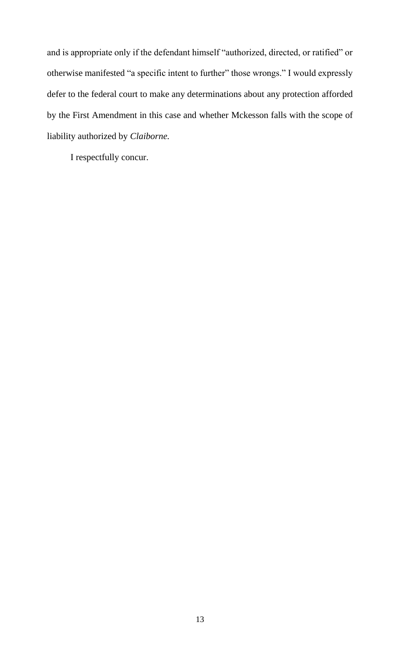and is appropriate only if the defendant himself "authorized, directed, or ratified" or otherwise manifested "a specific intent to further" those wrongs." I would expressly defer to the federal court to make any determinations about any protection afforded by the First Amendment in this case and whether Mckesson falls with the scope of liability authorized by *Claiborne.*

I respectfully concur.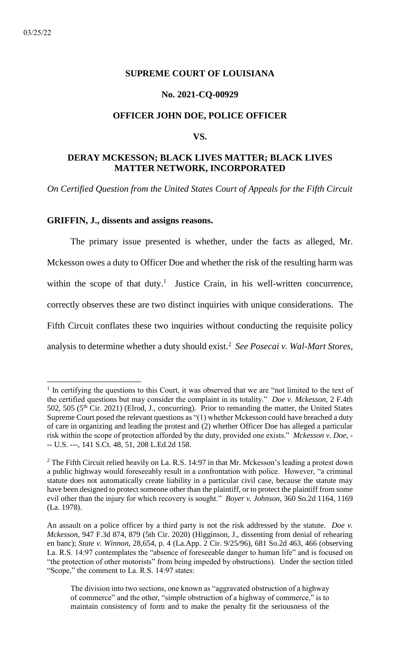# <span id="page-35-0"></span>**SUPREME COURT OF LOUISIANA**

### **No. 2021-CQ-00929**

#### **OFFICER JOHN DOE, POLICE OFFICER**

#### **VS.**

# **DERAY MCKESSON; BLACK LIVES MATTER; BLACK LIVES MATTER NETWORK, INCORPORATED**

*On Certified Question from the United States Court of Appeals for the Fifth Circuit*

#### **GRIFFIN, J., dissents and assigns reasons.**

The primary issue presented is whether, under the facts as alleged, Mr. Mckesson owes a duty to Officer Doe and whether the risk of the resulting harm was within the scope of that duty.<sup>1</sup> Justice Crain, in his well-written concurrence, correctly observes these are two distinct inquiries with unique considerations. The Fifth Circuit conflates these two inquiries without conducting the requisite policy analysis to determine whether a duty should exist.<sup>2</sup> *See Posecai v. Wal-Mart Stores,* 

<sup>&</sup>lt;sup>1</sup> In certifying the questions to this Court, it was observed that we are "not limited to the text of the certified questions but may consider the complaint in its totality." *Doe v. Mckesson*, 2 F.4th 502, 505 (5th Cir. 2021) (Elrod, J., concurring). Prior to remanding the matter, the United States Supreme Court posed the relevant questions as "(1) whether Mckesson could have breached a duty of care in organizing and leading the protest and (2) whether Officer Doe has alleged a particular risk within the scope of protection afforded by the duty, provided one exists." *Mckesson v. Doe*, - -- U.S. ---, 141 S.Ct. 48, 51, 208 L.Ed.2d 158.

 $2$  The Fifth Circuit relied heavily on La. R.S. 14:97 in that Mr. Mckesson's leading a protest down a public highway would foreseeably result in a confrontation with police. However, "a criminal statute does not automatically create liability in a particular civil case, because the statute may have been designed to protect someone other than the plaintiff, or to protect the plaintiff from some evil other than the injury for which recovery is sought." *Boyer v. Johnson*, 360 So.2d 1164, 1169 (La. 1978).

An assault on a police officer by a third party is not the risk addressed by the statute. *Doe v. Mckesson*, 947 F.3d 874, 879 (5th Cir. 2020) (Higginson, J., dissenting from denial of rehearing en banc); *State v. Winnon*, 28,654, p. 4 (La.App. 2 Cir. 9/25/96), 681 So.2d 463, 466 (observing La. R.S. 14:97 contemplates the "absence of foreseeable danger to human life" and is focused on "the protection of other motorists" from being impeded by obstructions). Under the section titled "Scope," the comment to La. R.S. 14:97 states:

The division into two sections, one known as "aggravated obstruction of a highway of commerce" and the other, "simple obstruction of a highway of commerce," is to maintain consistency of form and to make the penalty fit the seriousness of the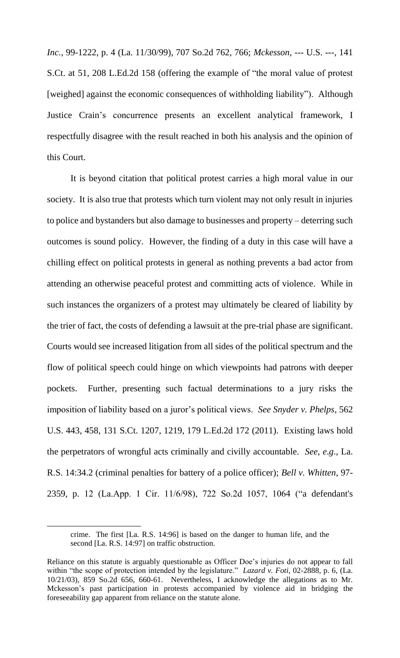*Inc.*, 99-1222, p. 4 (La. 11/30/99), 707 So.2d 762, 766; *Mckesson*, --- U.S. ---, 141 S.Ct. at 51, 208 L.Ed.2d 158 (offering the example of "the moral value of protest [weighed] against the economic consequences of withholding liability"). Although Justice Crain's concurrence presents an excellent analytical framework, I respectfully disagree with the result reached in both his analysis and the opinion of this Court.

It is beyond citation that political protest carries a high moral value in our society. It is also true that protests which turn violent may not only result in injuries to police and bystanders but also damage to businesses and property – deterring such outcomes is sound policy. However, the finding of a duty in this case will have a chilling effect on political protests in general as nothing prevents a bad actor from attending an otherwise peaceful protest and committing acts of violence. While in such instances the organizers of a protest may ultimately be cleared of liability by the trier of fact, the costs of defending a lawsuit at the pre-trial phase are significant. Courts would see increased litigation from all sides of the political spectrum and the flow of political speech could hinge on which viewpoints had patrons with deeper pockets. Further, presenting such factual determinations to a jury risks the imposition of liability based on a juror's political views. *See Snyder v. Phelps*, 562 U.S. 443, 458, 131 S.Ct. 1207, 1219, 179 L.Ed.2d 172 (2011). Existing laws hold the perpetrators of wrongful acts criminally and civilly accountable. *See*, *e*.*g*., La. R.S. 14:34.2 (criminal penalties for battery of a police officer); *Bell v. Whitten*, 97- 2359, p. 12 (La.App. 1 Cir. 11/6/98), 722 So.2d 1057, 1064 ("a defendant's

crime. The first [La. R.S. 14:96] is based on the danger to human life, and the second [La. R.S. 14:97] on traffic obstruction.

Reliance on this statute is arguably questionable as Officer Doe's injuries do not appear to fall within "the scope of protection intended by the legislature." *Lazard v. Foti*, 02-2888, p. 6, (La. 10/21/03), 859 So.2d 656, 660-61. Nevertheless, I acknowledge the allegations as to Mr. Mckesson's past participation in protests accompanied by violence aid in bridging the foreseeability gap apparent from reliance on the statute alone.